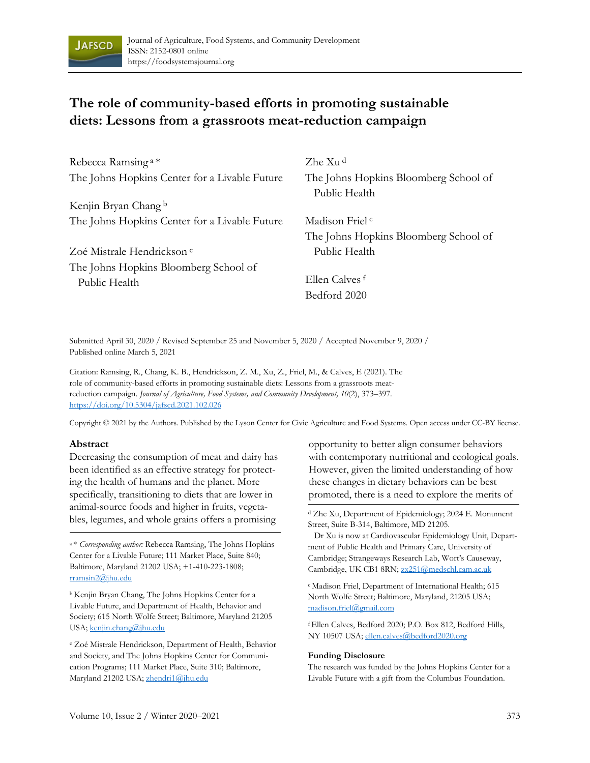

# **The role of community-based efforts in promoting sustainable diets: Lessons from a grassroots meat-reduction campaign**

| Rebecca Ramsing <sup>a*</sup>                 | Zhe Xu <sup>d</sup>                                    |
|-----------------------------------------------|--------------------------------------------------------|
| The Johns Hopkins Center for a Livable Future | The Johns Hopkins Bloomberg School of<br>Public Health |
| Kenjin Bryan Chang b                          |                                                        |
| The Johns Hopkins Center for a Livable Future | Madison Friel <sup>e</sup>                             |
|                                               | The Johns Hopkins Bloomberg School of                  |
| Zoé Mistrale Hendrickson <sup>c</sup>         | Public Health                                          |
| The Johns Hopkins Bloomberg School of         |                                                        |
| Public Health                                 | Ellen Calves <sup>f</sup>                              |
|                                               | Bedford 2020                                           |

Submitted April 30, 2020 / Revised September 25 and November 5, 2020 / Accepted November 9, 2020 / Published online March 5, 2021

Citation: Ramsing, R., Chang, K. B., Hendrickson, Z. M., Xu, Z., Friel, M., & Calves, E (2021). The role of community-based efforts in promoting sustainable diets: Lessons from a grassroots meatreduction campaign. *Journal of Agriculture, Food Systems, and Community Development, 10*(2), 373–397. https://doi.org/10.5304/jafscd.2021.102.026

Copyright © 2021 by the Authors. Published by the Lyson Center for Civic Agriculture and Food Systems. Open access under CC-BY license.

#### **Abstract**

Decreasing the consumption of meat and dairy has been identified as an effective strategy for protecting the health of humans and the planet. More specifically, transitioning to diets that are lower in animal-source foods and higher in fruits, vegetables, legumes, and whole grains offers a promising

a \* *Corresponding author:* Rebecca Ramsing, The Johns Hopkins Center for a Livable Future; 111 Market Place, Suite 840; Baltimore, Maryland 21202 USA; +1-410-223-1808; rramsin2@jhu.edu

b Kenjin Bryan Chang, The Johns Hopkins Center for a Livable Future, and Department of Health, Behavior and Society; 615 North Wolfe Street; Baltimore, Maryland 21205 USA; kenjin.chang@jhu.edu

c Zoé Mistrale Hendrickson, Department of Health, Behavior and Society, and The Johns Hopkins Center for Communication Programs; 111 Market Place, Suite 310; Baltimore, Maryland 21202 USA; zhendri1@jhu.edu

opportunity to better align consumer behaviors with contemporary nutritional and ecological goals. However, given the limited understanding of how these changes in dietary behaviors can be best promoted, there is a need to explore the merits of

d Zhe Xu, Department of Epidemiology; 2024 E. Monument Street, Suite B-314, Baltimore, MD 21205.

 Dr Xu is now at Cardiovascular Epidemiology Unit, Department of Public Health and Primary Care, University of Cambridge; Strangeways Research Lab, Wort's Causeway, Cambridge, UK CB1 8RN; zx251@medschl.cam.ac.uk

e Madison Friel, Department of International Health; 615 North Wolfe Street; Baltimore, Maryland, 21205 USA; madison.friel@gmail.com

f Ellen Calves, Bedford 2020; P.O. Box 812, Bedford Hills, NY 10507 USA; ellen.calves@bedford2020.org

#### **Funding Disclosure**

The research was funded by the Johns Hopkins Center for a Livable Future with a gift from the Columbus Foundation.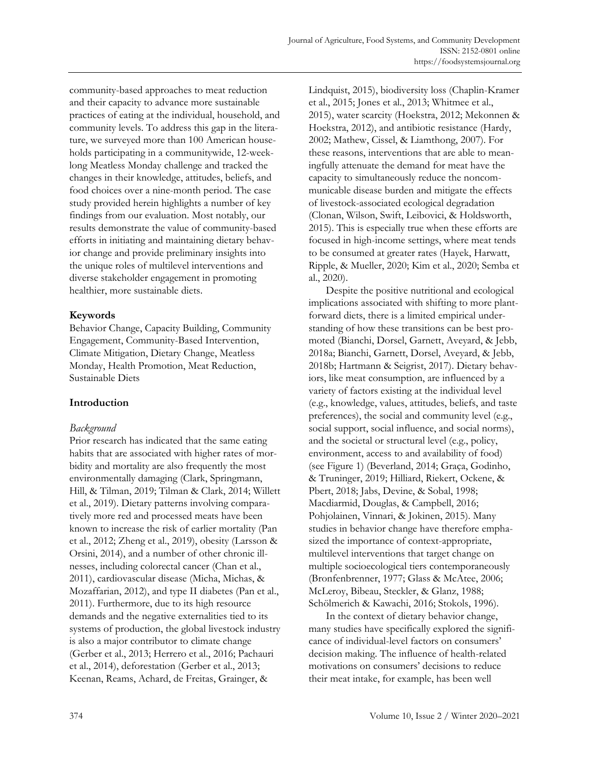community-based approaches to meat reduction and their capacity to advance more sustainable practices of eating at the individual, household, and community levels. To address this gap in the literature, we surveyed more than 100 American households participating in a communitywide, 12-weeklong Meatless Monday challenge and tracked the changes in their knowledge, attitudes, beliefs, and food choices over a nine-month period. The case study provided herein highlights a number of key findings from our evaluation. Most notably, our results demonstrate the value of community-based efforts in initiating and maintaining dietary behavior change and provide preliminary insights into the unique roles of multilevel interventions and diverse stakeholder engagement in promoting healthier, more sustainable diets.

# **Keywords**

Behavior Change, Capacity Building, Community Engagement, Community-Based Intervention, Climate Mitigation, Dietary Change, Meatless Monday, Health Promotion, Meat Reduction, Sustainable Diets

# **Introduction**

# *Background*

Prior research has indicated that the same eating habits that are associated with higher rates of morbidity and mortality are also frequently the most environmentally damaging (Clark, Springmann, Hill, & Tilman, 2019; Tilman & Clark, 2014; Willett et al., 2019). Dietary patterns involving comparatively more red and processed meats have been known to increase the risk of earlier mortality (Pan et al., 2012; Zheng et al., 2019), obesity (Larsson & Orsini, 2014), and a number of other chronic illnesses, including colorectal cancer (Chan et al., 2011), cardiovascular disease (Micha, Michas, & Mozaffarian, 2012), and type II diabetes (Pan et al., 2011). Furthermore, due to its high resource demands and the negative externalities tied to its systems of production, the global livestock industry is also a major contributor to climate change (Gerber et al., 2013; Herrero et al., 2016; Pachauri et al., 2014), deforestation (Gerber et al., 2013; Keenan, Reams, Achard, de Freitas, Grainger, &

Lindquist, 2015), biodiversity loss (Chaplin-Kramer et al., 2015; Jones et al., 2013; Whitmee et al., 2015), water scarcity (Hoekstra, 2012; Mekonnen & Hoekstra, 2012), and antibiotic resistance (Hardy, 2002; Mathew, Cissel, & Liamthong, 2007). For these reasons, interventions that are able to meaningfully attenuate the demand for meat have the capacity to simultaneously reduce the noncommunicable disease burden and mitigate the effects of livestock-associated ecological degradation (Clonan, Wilson, Swift, Leibovici, & Holdsworth, 2015). This is especially true when these efforts are focused in high-income settings, where meat tends to be consumed at greater rates (Hayek, Harwatt, Ripple, & Mueller, 2020; Kim et al., 2020; Semba et al., 2020).

Despite the positive nutritional and ecological implications associated with shifting to more plantforward diets, there is a limited empirical understanding of how these transitions can be best promoted (Bianchi, Dorsel, Garnett, Aveyard, & Jebb, 2018a; Bianchi, Garnett, Dorsel, Aveyard, & Jebb, 2018b; Hartmann & Seigrist, 2017). Dietary behaviors, like meat consumption, are influenced by a variety of factors existing at the individual level (e.g., knowledge, values, attitudes, beliefs, and taste preferences), the social and community level (e.g., social support, social influence, and social norms), and the societal or structural level (e.g., policy, environment, access to and availability of food) (see Figure 1) (Beverland, 2014; Graça, Godinho, & Truninger, 2019; Hilliard, Riekert, Ockene, & Pbert, 2018; Jabs, Devine, & Sobal, 1998; Macdiarmid, Douglas, & Campbell, 2016; Pohjolainen, Vinnari, & Jokinen, 2015). Many studies in behavior change have therefore emphasized the importance of context-appropriate, multilevel interventions that target change on multiple socioecological tiers contemporaneously (Bronfenbrenner, 1977; Glass & McAtee, 2006; McLeroy, Bibeau, Steckler, & Glanz, 1988; Schölmerich & Kawachi, 2016; Stokols, 1996).

In the context of dietary behavior change, many studies have specifically explored the significance of individual-level factors on consumers' decision making. The influence of health-related motivations on consumers' decisions to reduce their meat intake, for example, has been well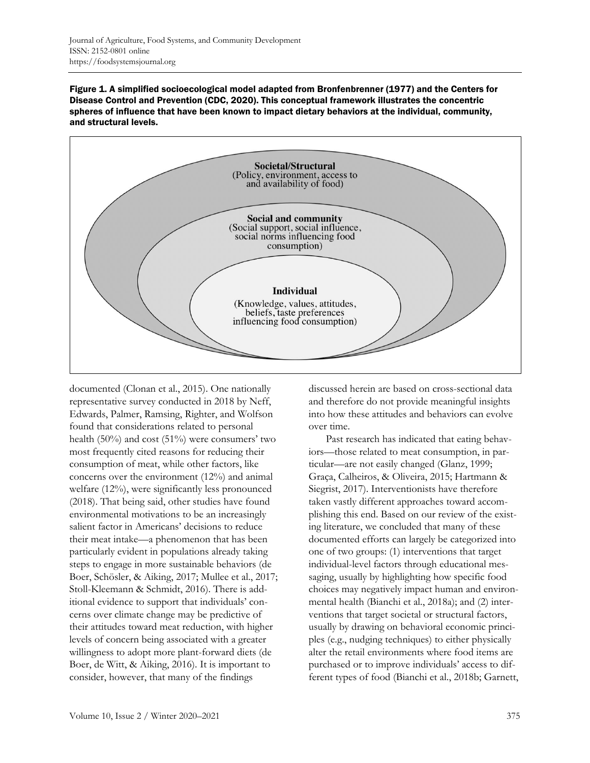Figure 1. A simplified socioecological model adapted from Bronfenbrenner (1977) and the Centers for Disease Control and Prevention (CDC, 2020). This conceptual framework illustrates the concentric spheres of influence that have been known to impact dietary behaviors at the individual, community, and structural levels.



documented (Clonan et al., 2015). One nationally representative survey conducted in 2018 by Neff, Edwards, Palmer, Ramsing, Righter, and Wolfson found that considerations related to personal health (50%) and cost (51%) were consumers' two most frequently cited reasons for reducing their consumption of meat, while other factors, like concerns over the environment (12%) and animal welfare (12%), were significantly less pronounced (2018). That being said, other studies have found environmental motivations to be an increasingly salient factor in Americans' decisions to reduce their meat intake—a phenomenon that has been particularly evident in populations already taking steps to engage in more sustainable behaviors (de Boer, Schösler, & Aiking, 2017; Mullee et al., 2017; Stoll-Kleemann & Schmidt, 2016). There is additional evidence to support that individuals' concerns over climate change may be predictive of their attitudes toward meat reduction, with higher levels of concern being associated with a greater willingness to adopt more plant-forward diets (de Boer, de Witt, & Aiking, 2016). It is important to consider, however, that many of the findings

discussed herein are based on cross-sectional data and therefore do not provide meaningful insights into how these attitudes and behaviors can evolve over time.

Past research has indicated that eating behaviors—those related to meat consumption, in particular—are not easily changed (Glanz, 1999; Graça, Calheiros, & Oliveira, 2015; Hartmann & Siegrist, 2017). Interventionists have therefore taken vastly different approaches toward accomplishing this end. Based on our review of the existing literature, we concluded that many of these documented efforts can largely be categorized into one of two groups: (1) interventions that target individual-level factors through educational messaging, usually by highlighting how specific food choices may negatively impact human and environmental health (Bianchi et al., 2018a); and (2) interventions that target societal or structural factors, usually by drawing on behavioral economic principles (e.g., nudging techniques) to either physically alter the retail environments where food items are purchased or to improve individuals' access to different types of food (Bianchi et al., 2018b; Garnett,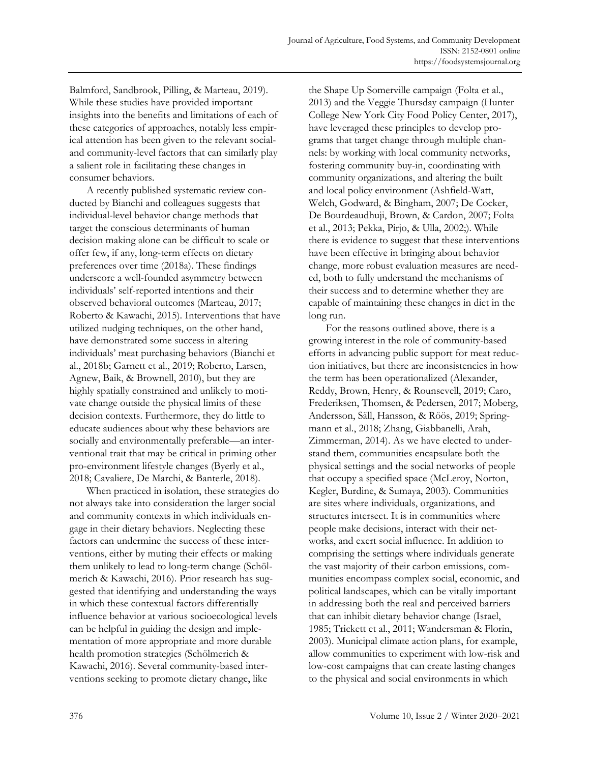Balmford, Sandbrook, Pilling, & Marteau, 2019). While these studies have provided important insights into the benefits and limitations of each of these categories of approaches, notably less empirical attention has been given to the relevant socialand community-level factors that can similarly play a salient role in facilitating these changes in consumer behaviors.

A recently published systematic review conducted by Bianchi and colleagues suggests that individual-level behavior change methods that target the conscious determinants of human decision making alone can be difficult to scale or offer few, if any, long-term effects on dietary preferences over time (2018a). These findings underscore a well-founded asymmetry between individuals' self-reported intentions and their observed behavioral outcomes (Marteau, 2017; Roberto & Kawachi, 2015). Interventions that have utilized nudging techniques, on the other hand, have demonstrated some success in altering individuals' meat purchasing behaviors (Bianchi et al., 2018b; Garnett et al., 2019; Roberto, Larsen, Agnew, Baik, & Brownell, 2010), but they are highly spatially constrained and unlikely to motivate change outside the physical limits of these decision contexts. Furthermore, they do little to educate audiences about why these behaviors are socially and environmentally preferable—an interventional trait that may be critical in priming other pro-environment lifestyle changes (Byerly et al., 2018; Cavaliere, De Marchi, & Banterle, 2018).

When practiced in isolation, these strategies do not always take into consideration the larger social and community contexts in which individuals engage in their dietary behaviors. Neglecting these factors can undermine the success of these interventions, either by muting their effects or making them unlikely to lead to long-term change (Schölmerich & Kawachi, 2016). Prior research has suggested that identifying and understanding the ways in which these contextual factors differentially influence behavior at various socioecological levels can be helpful in guiding the design and implementation of more appropriate and more durable health promotion strategies (Schölmerich & Kawachi, 2016). Several community-based interventions seeking to promote dietary change, like

the Shape Up Somerville campaign (Folta et al., 2013) and the Veggie Thursday campaign (Hunter College New York City Food Policy Center, 2017), have leveraged these principles to develop programs that target change through multiple channels: by working with local community networks, fostering community buy-in, coordinating with community organizations, and altering the built and local policy environment (Ashfield-Watt, Welch, Godward, & Bingham, 2007; De Cocker, De Bourdeaudhuji, Brown, & Cardon, 2007; Folta et al., 2013; Pekka, Pirjo, & Ulla, 2002;). While there is evidence to suggest that these interventions have been effective in bringing about behavior change, more robust evaluation measures are needed, both to fully understand the mechanisms of their success and to determine whether they are capable of maintaining these changes in diet in the long run.

For the reasons outlined above, there is a growing interest in the role of community-based efforts in advancing public support for meat reduction initiatives, but there are inconsistencies in how the term has been operationalized (Alexander, Reddy, Brown, Henry, & Rounsevell, 2019; Caro, Frederiksen, Thomsen, & Pedersen, 2017; Moberg, Andersson, Säll, Hansson, & Röös, 2019; Springmann et al., 2018; Zhang, Giabbanelli, Arah, Zimmerman, 2014). As we have elected to understand them, communities encapsulate both the physical settings and the social networks of people that occupy a specified space (McLeroy, Norton, Kegler, Burdine, & Sumaya, 2003). Communities are sites where individuals, organizations, and structures intersect. It is in communities where people make decisions, interact with their networks, and exert social influence. In addition to comprising the settings where individuals generate the vast majority of their carbon emissions, communities encompass complex social, economic, and political landscapes, which can be vitally important in addressing both the real and perceived barriers that can inhibit dietary behavior change (Israel, 1985; Trickett et al., 2011; Wandersman & Florin, 2003). Municipal climate action plans, for example, allow communities to experiment with low-risk and low-cost campaigns that can create lasting changes to the physical and social environments in which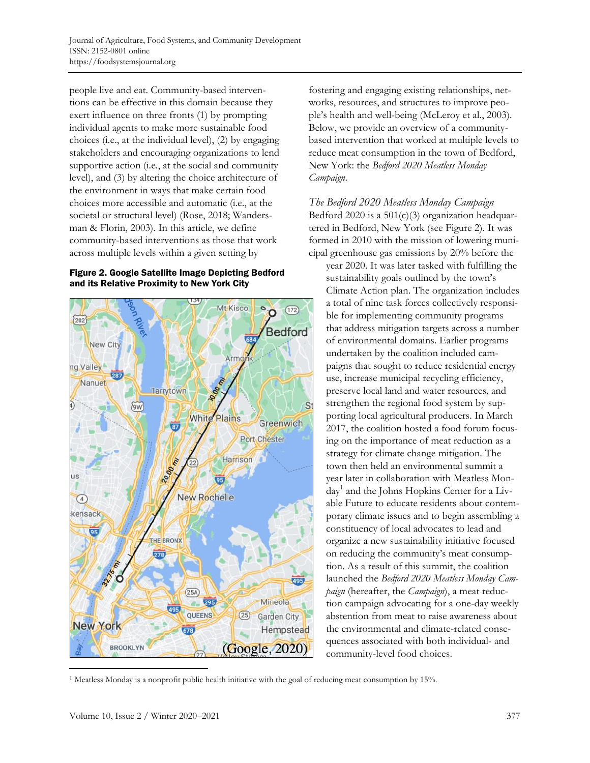people live and eat. Community-based interventions can be effective in this domain because they exert influence on three fronts (1) by prompting individual agents to make more sustainable food choices (i.e., at the individual level), (2) by engaging stakeholders and encouraging organizations to lend supportive action (i.e., at the social and community level), and (3) by altering the choice architecture of the environment in ways that make certain food choices more accessible and automatic (i.e., at the societal or structural level) (Rose, 2018; Wandersman & Florin, 2003). In this article, we define community-based interventions as those that work across multiple levels within a given setting by

### Figure 2. Google Satellite Image Depicting Bedford and its Relative Proximity to New York City



fostering and engaging existing relationships, networks, resources, and structures to improve people's health and well-being (McLeroy et al., 2003). Below, we provide an overview of a communitybased intervention that worked at multiple levels to reduce meat consumption in the town of Bedford, New York: the *Bedford 2020 Meatless Monday Campaign*.

*The Bedford 2020 Meatless Monday Campaign* Bedford 2020 is a  $501(c)(3)$  organization headquartered in Bedford, New York (see Figure 2). It was formed in 2010 with the mission of lowering municipal greenhouse gas emissions by 20% before the

year 2020. It was later tasked with fulfilling the sustainability goals outlined by the town's Climate Action plan. The organization includes a total of nine task forces collectively responsible for implementing community programs that address mitigation targets across a number of environmental domains. Earlier programs undertaken by the coalition included campaigns that sought to reduce residential energy use, increase municipal recycling efficiency, preserve local land and water resources, and strengthen the regional food system by supporting local agricultural producers. In March 2017, the coalition hosted a food forum focusing on the importance of meat reduction as a strategy for climate change mitigation. The town then held an environmental summit a year later in collaboration with Meatless Monday<sup>1</sup> and the Johns Hopkins Center for a Livable Future to educate residents about contemporary climate issues and to begin assembling a constituency of local advocates to lead and organize a new sustainability initiative focused on reducing the community's meat consumption. As a result of this summit, the coalition launched the *Bedford 2020 Meatless Monday Campaign* (hereafter, the *Campaign*), a meat reduction campaign advocating for a one-day weekly abstention from meat to raise awareness about the environmental and climate-related consequences associated with both individual- and community-level food choices.

<sup>1</sup> Meatless Monday is a nonprofit public health initiative with the goal of reducing meat consumption by 15%.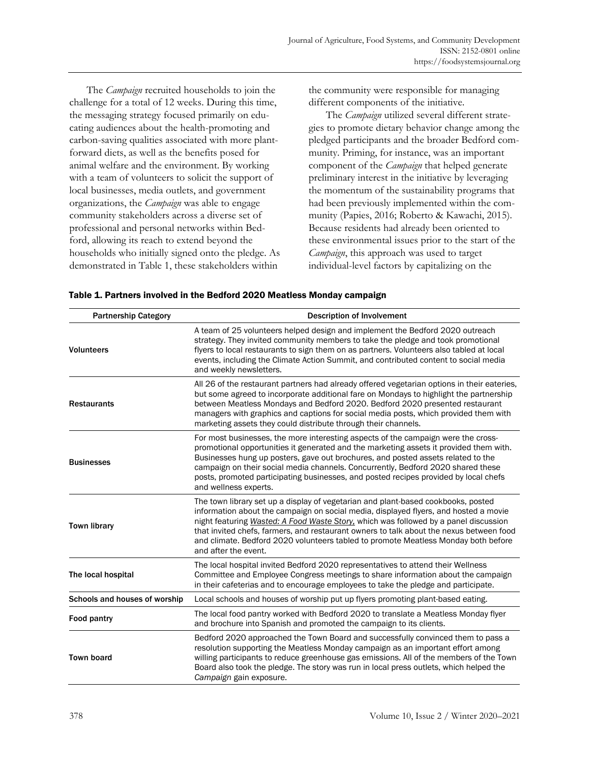The *Campaign* recruited households to join the challenge for a total of 12 weeks. During this time, the messaging strategy focused primarily on educating audiences about the health-promoting and carbon-saving qualities associated with more plantforward diets, as well as the benefits posed for animal welfare and the environment. By working with a team of volunteers to solicit the support of local businesses, media outlets, and government organizations, the *Campaign* was able to engage community stakeholders across a diverse set of professional and personal networks within Bedford, allowing its reach to extend beyond the households who initially signed onto the pledge. As demonstrated in Table 1, these stakeholders within

the community were responsible for managing different components of the initiative.

The *Campaign* utilized several different strategies to promote dietary behavior change among the pledged participants and the broader Bedford community. Priming, for instance, was an important component of the *Campaign* that helped generate preliminary interest in the initiative by leveraging the momentum of the sustainability programs that had been previously implemented within the community (Papies, 2016; Roberto & Kawachi, 2015). Because residents had already been oriented to these environmental issues prior to the start of the *Campaign*, this approach was used to target individual-level factors by capitalizing on the

| <b>Partnership Category</b>   | <b>Description of Involvement</b>                                                                                                                                                                                                                                                                                                                                                                                                                                          |  |  |  |
|-------------------------------|----------------------------------------------------------------------------------------------------------------------------------------------------------------------------------------------------------------------------------------------------------------------------------------------------------------------------------------------------------------------------------------------------------------------------------------------------------------------------|--|--|--|
| <b>Volunteers</b>             | A team of 25 volunteers helped design and implement the Bedford 2020 outreach<br>strategy. They invited community members to take the pledge and took promotional<br>flyers to local restaurants to sign them on as partners. Volunteers also tabled at local<br>events, including the Climate Action Summit, and contributed content to social media<br>and weekly newsletters.                                                                                           |  |  |  |
| <b>Restaurants</b>            | All 26 of the restaurant partners had already offered vegetarian options in their eateries,<br>but some agreed to incorporate additional fare on Mondays to highlight the partnership<br>between Meatless Mondays and Bedford 2020. Bedford 2020 presented restaurant<br>managers with graphics and captions for social media posts, which provided them with<br>marketing assets they could distribute through their channels.                                            |  |  |  |
| <b>Businesses</b>             | For most businesses, the more interesting aspects of the campaign were the cross-<br>promotional opportunities it generated and the marketing assets it provided them with.<br>Businesses hung up posters, gave out brochures, and posted assets related to the<br>campaign on their social media channels. Concurrently, Bedford 2020 shared these<br>posts, promoted participating businesses, and posted recipes provided by local chefs<br>and wellness experts.       |  |  |  |
| <b>Town library</b>           | The town library set up a display of vegetarian and plant-based cookbooks, posted<br>information about the campaign on social media, displayed flyers, and hosted a movie<br>night featuring Wasted: A Food Waste Story, which was followed by a panel discussion<br>that invited chefs, farmers, and restaurant owners to talk about the nexus between food<br>and climate. Bedford 2020 volunteers tabled to promote Meatless Monday both before<br>and after the event. |  |  |  |
| The local hospital            | The local hospital invited Bedford 2020 representatives to attend their Wellness<br>Committee and Employee Congress meetings to share information about the campaign<br>in their cafeterias and to encourage employees to take the pledge and participate.                                                                                                                                                                                                                 |  |  |  |
| Schools and houses of worship | Local schools and houses of worship put up flyers promoting plant-based eating.                                                                                                                                                                                                                                                                                                                                                                                            |  |  |  |
| Food pantry                   | The local food pantry worked with Bedford 2020 to translate a Meatless Monday flyer<br>and brochure into Spanish and promoted the campaign to its clients.                                                                                                                                                                                                                                                                                                                 |  |  |  |
| <b>Town board</b>             | Bedford 2020 approached the Town Board and successfully convinced them to pass a<br>resolution supporting the Meatless Monday campaign as an important effort among<br>willing participants to reduce greenhouse gas emissions. All of the members of the Town<br>Board also took the pledge. The story was run in local press outlets, which helped the<br>Campaign gain exposure.                                                                                        |  |  |  |

Table 1. Partners involved in the Bedford 2020 Meatless Monday campaign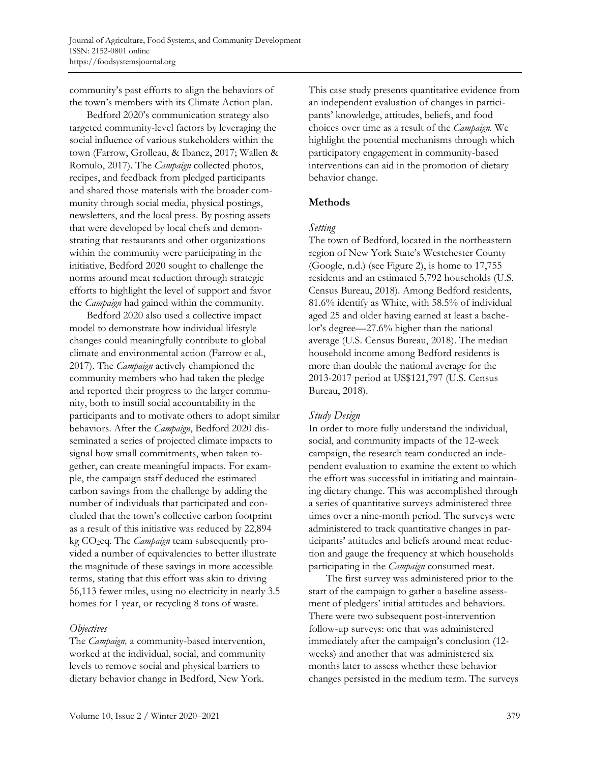community's past efforts to align the behaviors of the town's members with its Climate Action plan.

Bedford 2020's communication strategy also targeted community-level factors by leveraging the social influence of various stakeholders within the town (Farrow, Grolleau, & Ibanez, 2017; Wallen & Romulo, 2017). The *Campaign* collected photos, recipes, and feedback from pledged participants and shared those materials with the broader community through social media, physical postings, newsletters, and the local press. By posting assets that were developed by local chefs and demonstrating that restaurants and other organizations within the community were participating in the initiative, Bedford 2020 sought to challenge the norms around meat reduction through strategic efforts to highlight the level of support and favor the *Campaign* had gained within the community.

Bedford 2020 also used a collective impact model to demonstrate how individual lifestyle changes could meaningfully contribute to global climate and environmental action (Farrow et al., 2017). The *Campaign* actively championed the community members who had taken the pledge and reported their progress to the larger community, both to instill social accountability in the participants and to motivate others to adopt similar behaviors. After the *Campaign*, Bedford 2020 disseminated a series of projected climate impacts to signal how small commitments, when taken together, can create meaningful impacts. For example, the campaign staff deduced the estimated carbon savings from the challenge by adding the number of individuals that participated and concluded that the town's collective carbon footprint as a result of this initiative was reduced by 22,894 kg CO2eq. The *Campaign* team subsequently provided a number of equivalencies to better illustrate the magnitude of these savings in more accessible terms, stating that this effort was akin to driving 56,113 fewer miles, using no electricity in nearly 3.5 homes for 1 year, or recycling 8 tons of waste.

### *Objectives*

The *Campaign,* a community-based intervention, worked at the individual, social, and community levels to remove social and physical barriers to dietary behavior change in Bedford, New York.

This case study presents quantitative evidence from an independent evaluation of changes in participants' knowledge, attitudes, beliefs, and food choices over time as a result of the *Campaign.* We highlight the potential mechanisms through which participatory engagement in community-based interventions can aid in the promotion of dietary behavior change.

# **Methods**

### *Setting*

The town of Bedford, located in the northeastern region of New York State's Westchester County (Google, n.d.) (see Figure 2), is home to 17,755 residents and an estimated 5,792 households (U.S. Census Bureau, 2018). Among Bedford residents, 81.6% identify as White, with 58.5% of individual aged 25 and older having earned at least a bachelor's degree—27.6% higher than the national average (U.S. Census Bureau, 2018). The median household income among Bedford residents is more than double the national average for the 2013-2017 period at US\$121,797 (U.S. Census Bureau, 2018).

# *Study Design*

In order to more fully understand the individual, social, and community impacts of the 12-week campaign, the research team conducted an independent evaluation to examine the extent to which the effort was successful in initiating and maintaining dietary change. This was accomplished through a series of quantitative surveys administered three times over a nine-month period. The surveys were administered to track quantitative changes in participants' attitudes and beliefs around meat reduction and gauge the frequency at which households participating in the *Campaign* consumed meat.

The first survey was administered prior to the start of the campaign to gather a baseline assessment of pledgers' initial attitudes and behaviors. There were two subsequent post-intervention follow-up surveys: one that was administered immediately after the campaign's conclusion (12 weeks) and another that was administered six months later to assess whether these behavior changes persisted in the medium term. The surveys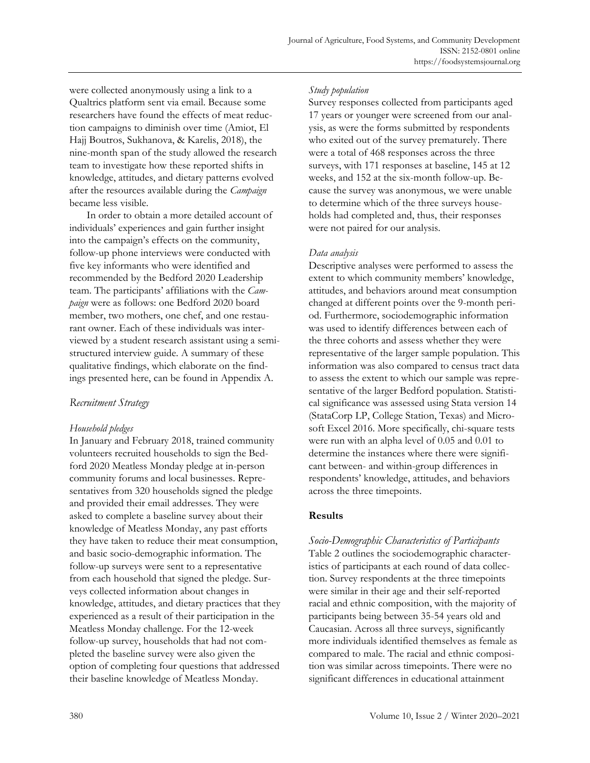were collected anonymously using a link to a Qualtrics platform sent via email. Because some researchers have found the effects of meat reduction campaigns to diminish over time (Amiot, El Hajj Boutros, Sukhanova, & Karelis, 2018), the nine-month span of the study allowed the research team to investigate how these reported shifts in knowledge, attitudes, and dietary patterns evolved after the resources available during the *Campaign* became less visible.

In order to obtain a more detailed account of individuals' experiences and gain further insight into the campaign's effects on the community, follow-up phone interviews were conducted with five key informants who were identified and recommended by the Bedford 2020 Leadership team. The participants' affiliations with the *Campaign* were as follows: one Bedford 2020 board member, two mothers, one chef, and one restaurant owner. Each of these individuals was interviewed by a student research assistant using a semistructured interview guide. A summary of these qualitative findings, which elaborate on the findings presented here, can be found in Appendix A.

# *Recruitment Strategy*

# *Household pledges*

In January and February 2018, trained community volunteers recruited households to sign the Bedford 2020 Meatless Monday pledge at in-person community forums and local businesses. Representatives from 320 households signed the pledge and provided their email addresses. They were asked to complete a baseline survey about their knowledge of Meatless Monday, any past efforts they have taken to reduce their meat consumption, and basic socio-demographic information. The follow-up surveys were sent to a representative from each household that signed the pledge. Surveys collected information about changes in knowledge, attitudes, and dietary practices that they experienced as a result of their participation in the Meatless Monday challenge. For the 12-week follow-up survey, households that had not completed the baseline survey were also given the option of completing four questions that addressed their baseline knowledge of Meatless Monday.

### *Study population*

Survey responses collected from participants aged 17 years or younger were screened from our analysis, as were the forms submitted by respondents who exited out of the survey prematurely. There were a total of 468 responses across the three surveys, with 171 responses at baseline, 145 at 12 weeks, and 152 at the six-month follow-up. Because the survey was anonymous, we were unable to determine which of the three surveys households had completed and, thus, their responses were not paired for our analysis.

# *Data analysis*

Descriptive analyses were performed to assess the extent to which community members' knowledge, attitudes, and behaviors around meat consumption changed at different points over the 9-month period. Furthermore, sociodemographic information was used to identify differences between each of the three cohorts and assess whether they were representative of the larger sample population. This information was also compared to census tract data to assess the extent to which our sample was representative of the larger Bedford population. Statistical significance was assessed using Stata version 14 (StataCorp LP, College Station, Texas) and Microsoft Excel 2016. More specifically, chi-square tests were run with an alpha level of 0.05 and 0.01 to determine the instances where there were significant between- and within-group differences in respondents' knowledge, attitudes, and behaviors across the three timepoints.

# **Results**

*Socio-Demographic Characteristics of Participants* Table 2 outlines the sociodemographic characteristics of participants at each round of data collection. Survey respondents at the three timepoints were similar in their age and their self-reported racial and ethnic composition, with the majority of participants being between 35-54 years old and Caucasian. Across all three surveys, significantly more individuals identified themselves as female as compared to male. The racial and ethnic composition was similar across timepoints. There were no significant differences in educational attainment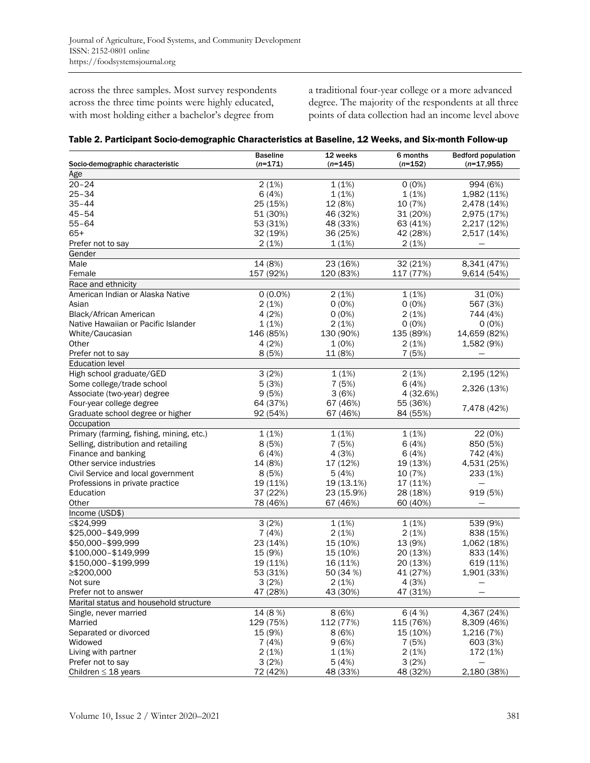across the three samples. Most survey respondents across the three time points were highly educated, with most holding either a bachelor's degree from

a traditional four-year college or a more advanced degree. The majority of the respondents at all three points of data collection had an income level above

|                                                    | <b>Baseline</b> | 12 weeks           | 6 months  | <b>Bedford population</b> |
|----------------------------------------------------|-----------------|--------------------|-----------|---------------------------|
| Socio-demographic characteristic                   | $(n=171)$       | $(n=145)$          | $(n=152)$ | $(n=17,955)$              |
| Age                                                |                 |                    |           |                           |
| $20 - 24$                                          | 2(1%)           | 1(1%)              | $0(0\%)$  | 994 (6%)                  |
| $25 - 34$                                          | 6(4%)           | 1(1%)              | 1(1%)     | 1,982 (11%)               |
| $35 - 44$                                          | 25 (15%)        | 12 (8%)            | 10 (7%)   | 2,478 (14%)               |
| $45 - 54$                                          | 51 (30%)        | 46 (32%)           | 31 (20%)  | 2,975 (17%)               |
| 55–64                                              | 53 (31%)        | 48 (33%)           | 63 (41%)  | 2,217 (12%)               |
| $65+$                                              | 32 (19%)        | 36 (25%)           | 42 (28%)  | 2,517 (14%)               |
| Prefer not to say                                  | 2(1%)           | 1(1%)              | 2(1%)     |                           |
| Gender                                             |                 |                    |           |                           |
| Male                                               | 14 (8%)         | 23 (16%)           | 32 (21%)  | 8,341 (47%)               |
| Female                                             | 157 (92%)       | 120 (83%)          | 117 (77%) | 9,614 (54%)               |
| Race and ethnicity                                 |                 |                    |           |                           |
| American Indian or Alaska Native                   | $0(0.0\%)$      | 2(1%)              | 1(1%)     | 31 (0%)                   |
| Asian                                              | 2(1%)           | $0(0\%)$           | $0(0\%)$  | 567 (3%)                  |
| Black/African American                             | 4(2%)           | $0(0\%)$           | 2(1%)     | 744 (4%)                  |
|                                                    |                 |                    |           |                           |
| Native Hawaiian or Pacific Islander                | 1(1%)           | 2(1%)<br>130 (90%) | $0(0\%)$  | $0(0\%)$                  |
| White/Caucasian                                    | 146 (85%)       |                    | 135 (89%) | 14,659 (82%)              |
| Other                                              | 4(2%)<br>8(5%)  | 1(0%)              | 2(1%)     | 1,582 (9%)                |
| Prefer not to say                                  |                 | 11 (8%)            | 7(5%)     |                           |
| <b>Education level</b><br>High school graduate/GED | 3(2%)           | 1(1%)              | 2(1%)     | 2,195 (12%)               |
|                                                    |                 |                    |           |                           |
| Some college/trade school                          | 5(3%)           | 7 (5%)             | 6(4%)     | 2,326 (13%)               |
| Associate (two-year) degree                        | 9(5%)           | 3(6%)              | 4 (32.6%) |                           |
| Four-year college degree                           | 64 (37%)        | 67 (46%)           | 55 (36%)  | 7,478 (42%)               |
| Graduate school degree or higher                   | 92 (54%)        | 67 (46%)           | 84 (55%)  |                           |
| Occupation                                         |                 |                    |           |                           |
| Primary (farming, fishing, mining, etc.)           | 1(1%)           | 1(1%)              | 1(1%)     | 22 (0%)                   |
| Selling, distribution and retailing                | 8(5%)           | 7(5%)              | 6(4%)     | 850 (5%)                  |
| Finance and banking                                | 6(4%)           | 4 (3%)             | 6(4%)     | 742 (4%)                  |
| Other service industries                           | 14 (8%)         | 17 (12%)           | 19 (13%)  | 4,531 (25%)               |
| Civil Service and local government                 | 8(5%)           | 5(4%)              | 10 (7%)   | 233 (1%)                  |
| Professions in private practice                    | 19 (11%)        | 19 (13.1%)         | 17 (11%)  |                           |
| Education                                          | 37 (22%)        | 23 (15.9%)         | 28 (18%)  | 919 (5%)                  |
| Other                                              | 78 (46%)        | 67 (46%)           | 60 (40%)  |                           |
| Income (USD\$)                                     |                 |                    |           |                           |
| ≤\$24,999                                          | 3(2%)           | 1(1%)              | 1(1%)     | 539 (9%)                  |
| \$25,000-\$49,999                                  | 7(4%)           | 2(1%)              | 2(1%)     | 838 (15%)                 |
| \$50,000-\$99,999                                  | 23 (14%)        | 15 (10%)           | 13 (9%)   | 1,062 (18%)               |
| \$100,000-\$149,999                                | 15 (9%)         | 15 (10%)           | 20 (13%)  | 833 (14%)                 |
| \$150,000-\$199,999                                | 19 (11%)        | 16 (11%)           | 20 (13%)  | 619 (11%)                 |
| ≥\$200,000                                         | 53 (31%)        | 50 (34 %)          | 41 (27%)  | 1,901 (33%)               |
| Not sure                                           | 3(2%)           | 2(1%)              | 4 (3%)    |                           |
| Prefer not to answer                               | 47 (28%)        | 43 (30%)           | 47 (31%)  |                           |
| Marital status and household structure             |                 |                    |           |                           |
| Single, never married                              | 14 (8 %)        | 8(6%)              | 6(4%)     | 4,367 (24%)               |
| Married                                            | 129 (75%)       | 112 (77%)          | 115 (76%) | 8,309 (46%)               |
| Separated or divorced                              | 15 (9%)         | 8(6%)              | 15 (10%)  | 1,216 (7%)                |
| Widowed                                            | 7(4%)           | 9(6%)              | 7 (5%)    | 603 (3%)                  |
| Living with partner                                | 2(1%)           | 1(1%)              | 2(1%)     | 172 (1%)                  |
| Prefer not to say                                  | 3(2%)           | 5(4%)              | 3(2%)     |                           |
| Children $\leq$ 18 years                           | 72 (42%)        | 48 (33%)           | 48 (32%)  | 2,180 (38%)               |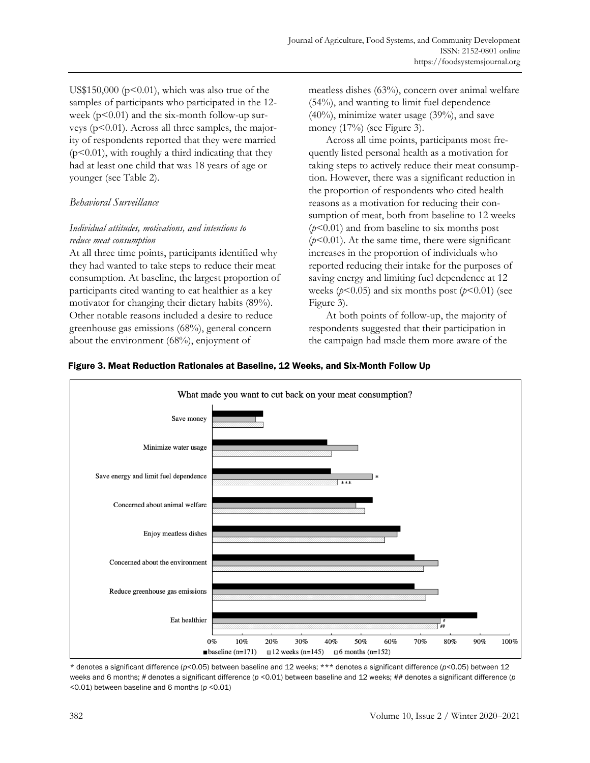US\$150,000 ( $p<0.01$ ), which was also true of the samples of participants who participated in the 12 week  $(p<0.01)$  and the six-month follow-up surveys (p<0.01). Across all three samples, the majority of respondents reported that they were married  $(p<0.01)$ , with roughly a third indicating that they had at least one child that was 18 years of age or younger (see Table 2).

# *Behavioral Surveillance*

# *Individual attitudes, motivations, and intentions to reduce meat consumption*

At all three time points, participants identified why they had wanted to take steps to reduce their meat consumption. At baseline, the largest proportion of participants cited wanting to eat healthier as a key motivator for changing their dietary habits (89%). Other notable reasons included a desire to reduce greenhouse gas emissions (68%), general concern about the environment (68%), enjoyment of

meatless dishes (63%), concern over animal welfare (54%), and wanting to limit fuel dependence (40%), minimize water usage (39%), and save money (17%) (see Figure 3).

Across all time points, participants most frequently listed personal health as a motivation for taking steps to actively reduce their meat consumption. However, there was a significant reduction in the proportion of respondents who cited health reasons as a motivation for reducing their consumption of meat, both from baseline to 12 weeks (*p*<0.01) and from baseline to six months post  $(p<0.01)$ . At the same time, there were significant increases in the proportion of individuals who reported reducing their intake for the purposes of saving energy and limiting fuel dependence at 12 weeks ( $p$ <0.05) and six months post ( $p$ <0.01) (see Figure 3).

At both points of follow-up, the majority of respondents suggested that their participation in the campaign had made them more aware of the



### Figure 3. Meat Reduction Rationales at Baseline, 12 Weeks, and Six-Month Follow Up

\* denotes a significant difference (*p*<0.05) between baseline and 12 weeks; \*\*\* denotes a significant difference (*p*<0.05) between 12 weeks and 6 months; *#* denotes a significant difference (*p* <0.01) between baseline and 12 weeks; ## denotes a significant difference (*p* <0.01) between baseline and 6 months (*p* <0.01)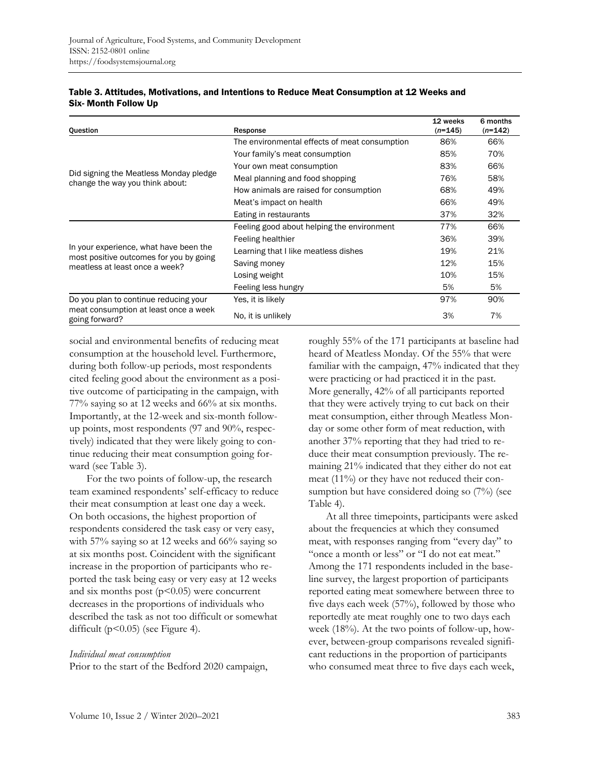| Question                                                                                                            | Response                                      | 12 weeks<br>$(n=145)$ | 6 months<br>$(n=142)$ |
|---------------------------------------------------------------------------------------------------------------------|-----------------------------------------------|-----------------------|-----------------------|
|                                                                                                                     | The environmental effects of meat consumption | 86%                   | 66%                   |
|                                                                                                                     | Your family's meat consumption                | 85%                   | 70%                   |
| Did signing the Meatless Monday pledge<br>change the way you think about:                                           | Your own meat consumption                     | 83%                   | 66%                   |
|                                                                                                                     | Meal planning and food shopping               | 76%                   | 58%                   |
|                                                                                                                     | How animals are raised for consumption        | 68%                   | 49%                   |
|                                                                                                                     | Meat's impact on health                       | 66%                   | 49%                   |
|                                                                                                                     | Eating in restaurants                         | 37%                   | 32%                   |
| In your experience, what have been the<br>most positive outcomes for you by going<br>meatless at least once a week? | Feeling good about helping the environment    | 77%                   | 66%                   |
|                                                                                                                     | Feeling healthier                             | 36%                   | 39%                   |
|                                                                                                                     | Learning that I like meatless dishes          | 19%                   | 21%                   |
|                                                                                                                     | Saving money                                  | 12%                   | 15%                   |
|                                                                                                                     | Losing weight                                 | 10%                   | 15%                   |
|                                                                                                                     | Feeling less hungry                           | 5%                    | 5%                    |
| Do you plan to continue reducing your                                                                               | Yes, it is likely                             | 97%                   | 90%                   |
| meat consumption at least once a week<br>going forward?                                                             | No. it is unlikely                            | 3%                    | 7%                    |

### Table 3. Attitudes, Motivations, and Intentions to Reduce Meat Consumption at 12 Weeks and Six- Month Follow Up

social and environmental benefits of reducing meat consumption at the household level. Furthermore, during both follow-up periods, most respondents cited feeling good about the environment as a positive outcome of participating in the campaign, with 77% saying so at 12 weeks and 66% at six months. Importantly, at the 12-week and six-month followup points, most respondents (97 and 90%, respectively) indicated that they were likely going to continue reducing their meat consumption going forward (see Table 3).

For the two points of follow-up, the research team examined respondents' self-efficacy to reduce their meat consumption at least one day a week. On both occasions, the highest proportion of respondents considered the task easy or very easy, with 57% saying so at 12 weeks and 66% saying so at six months post. Coincident with the significant increase in the proportion of participants who reported the task being easy or very easy at 12 weeks and six months post  $(p<0.05)$  were concurrent decreases in the proportions of individuals who described the task as not too difficult or somewhat difficult (p<0.05) (see Figure 4).

#### *Individual meat consumption*

Prior to the start of the Bedford 2020 campaign,

roughly 55% of the 171 participants at baseline had heard of Meatless Monday. Of the 55% that were familiar with the campaign, 47% indicated that they were practicing or had practiced it in the past. More generally, 42% of all participants reported that they were actively trying to cut back on their meat consumption, either through Meatless Monday or some other form of meat reduction, with another 37% reporting that they had tried to reduce their meat consumption previously. The remaining 21% indicated that they either do not eat meat (11%) or they have not reduced their consumption but have considered doing so (7%) (see Table 4).

At all three timepoints, participants were asked about the frequencies at which they consumed meat, with responses ranging from "every day" to "once a month or less" or "I do not eat meat." Among the 171 respondents included in the baseline survey, the largest proportion of participants reported eating meat somewhere between three to five days each week (57%), followed by those who reportedly ate meat roughly one to two days each week (18%)*.* At the two points of follow-up, however, between-group comparisons revealed significant reductions in the proportion of participants who consumed meat three to five days each week,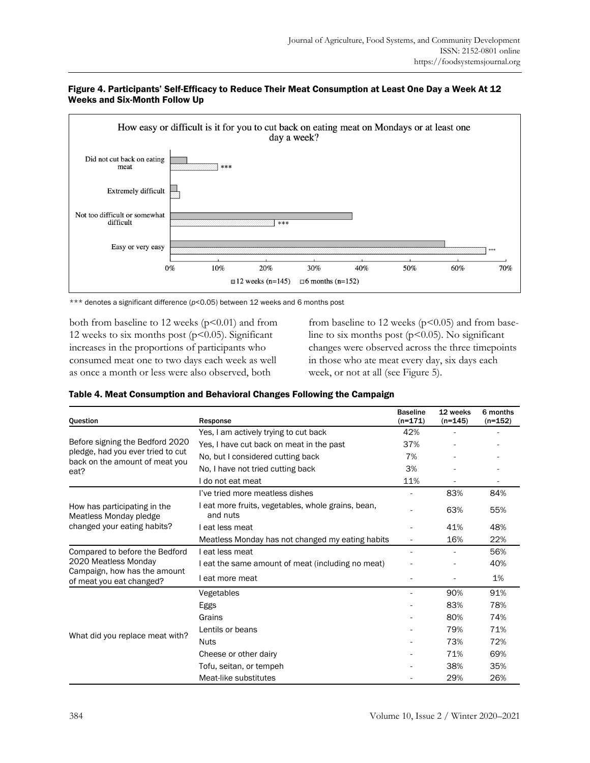



\*\*\* denotes a significant difference (*p*<0.05) between 12 weeks and 6 months post

both from baseline to 12 weeks  $(p<0.01)$  and from 12 weeks to six months post  $(p<0.05)$ . Significant increases in the proportions of participants who consumed meat one to two days each week as well as once a month or less were also observed, both

from baseline to 12 weeks ( $p$ <0.05) and from baseline to six months post  $(p<0.05)$ . No significant changes were observed across the three timepoints in those who ate meat every day, six days each week, or not at all (see Figure 5).

| Question                                                                                                           | Response                                                       | <b>Baseline</b><br>$(n=171)$ | 12 weeks<br>$(n=145)$ | 6 months<br>$(n=152)$ |
|--------------------------------------------------------------------------------------------------------------------|----------------------------------------------------------------|------------------------------|-----------------------|-----------------------|
|                                                                                                                    | Yes, I am actively trying to cut back                          | 42%                          |                       |                       |
| Before signing the Bedford 2020<br>pledge, had you ever tried to cut<br>back on the amount of meat you<br>eat?     | Yes, I have cut back on meat in the past                       | 37%                          |                       |                       |
|                                                                                                                    | No, but I considered cutting back                              | 7%                           |                       |                       |
|                                                                                                                    | No, I have not tried cutting back                              | 3%                           |                       |                       |
|                                                                                                                    | I do not eat meat                                              | 11%                          |                       |                       |
|                                                                                                                    | I've tried more meatless dishes                                |                              | 83%                   | 84%                   |
| How has participating in the<br>Meatless Monday pledge                                                             | I eat more fruits, vegetables, whole grains, bean,<br>and nuts |                              | 63%                   | 55%                   |
| changed your eating habits?                                                                                        | I eat less meat                                                |                              | 41%                   | 48%                   |
|                                                                                                                    | Meatless Monday has not changed my eating habits               |                              | 16%                   | 22%                   |
| Compared to before the Bedford<br>2020 Meatless Monday<br>Campaign, how has the amount<br>of meat you eat changed? | I eat less meat                                                |                              |                       | 56%                   |
|                                                                                                                    | I eat the same amount of meat (including no meat)              |                              |                       | 40%                   |
|                                                                                                                    | I eat more meat                                                |                              |                       | 1%                    |
|                                                                                                                    | Vegetables                                                     |                              | 90%                   | 91%                   |
|                                                                                                                    | Eggs                                                           |                              | 83%                   | 78%                   |
|                                                                                                                    | Grains                                                         |                              | 80%                   | 74%                   |
|                                                                                                                    | Lentils or beans                                               |                              | 79%                   | 71%                   |
| What did you replace meat with?                                                                                    | <b>Nuts</b>                                                    |                              | 73%                   | 72%                   |
|                                                                                                                    | Cheese or other dairy                                          |                              | 71%                   | 69%                   |
|                                                                                                                    | Tofu, seitan, or tempeh                                        |                              | 38%                   | 35%                   |
|                                                                                                                    | Meat-like substitutes                                          |                              | 29%                   | 26%                   |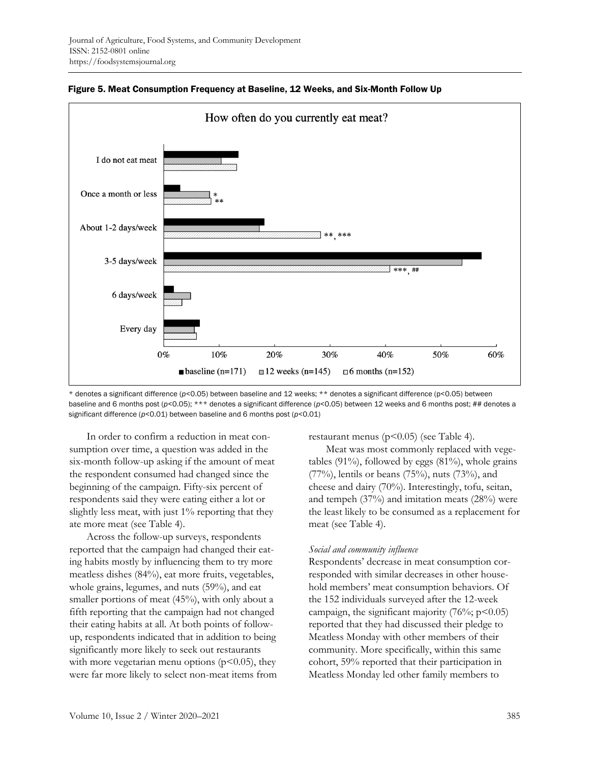

Figure 5. Meat Consumption Frequency at Baseline, 12 Weeks, and Six-Month Follow Up

\* denotes a significant difference (*p*<0.05) between baseline and 12 weeks; \*\* denotes a significant difference (p<0.05) between baseline and 6 months post ( $p$ <0.05); \*\*\* denotes a significant difference ( $p$ <0.05) between 12 weeks and 6 months post; ## denotes a significant difference (*p*<0.01) between baseline and 6 months post (*p*<0.01)

In order to confirm a reduction in meat consumption over time, a question was added in the six-month follow-up asking if the amount of meat the respondent consumed had changed since the beginning of the campaign. Fifty-six percent of respondents said they were eating either a lot or slightly less meat, with just 1% reporting that they ate more meat (see Table 4).

Across the follow-up surveys, respondents reported that the campaign had changed their eating habits mostly by influencing them to try more meatless dishes (84%), eat more fruits, vegetables, whole grains, legumes, and nuts (59%), and eat smaller portions of meat (45%), with only about a fifth reporting that the campaign had not changed their eating habits at all. At both points of followup, respondents indicated that in addition to being significantly more likely to seek out restaurants with more vegetarian menu options ( $p$ <0.05), they were far more likely to select non-meat items from restaurant menus ( $p$ <0.05) (see Table 4).

Meat was most commonly replaced with vegetables  $(91\%)$ , followed by eggs  $(81\%)$ , whole grains (77%), lentils or beans (75%), nuts (73%), and cheese and dairy (70%). Interestingly, tofu, seitan, and tempeh (37%) and imitation meats (28%) were the least likely to be consumed as a replacement for meat (see Table 4).

#### *Social and community influence*

Respondents' decrease in meat consumption corresponded with similar decreases in other household members' meat consumption behaviors. Of the 152 individuals surveyed after the 12-week campaign, the significant majority  $(76\%; p<0.05)$ reported that they had discussed their pledge to Meatless Monday with other members of their community. More specifically, within this same cohort, 59% reported that their participation in Meatless Monday led other family members to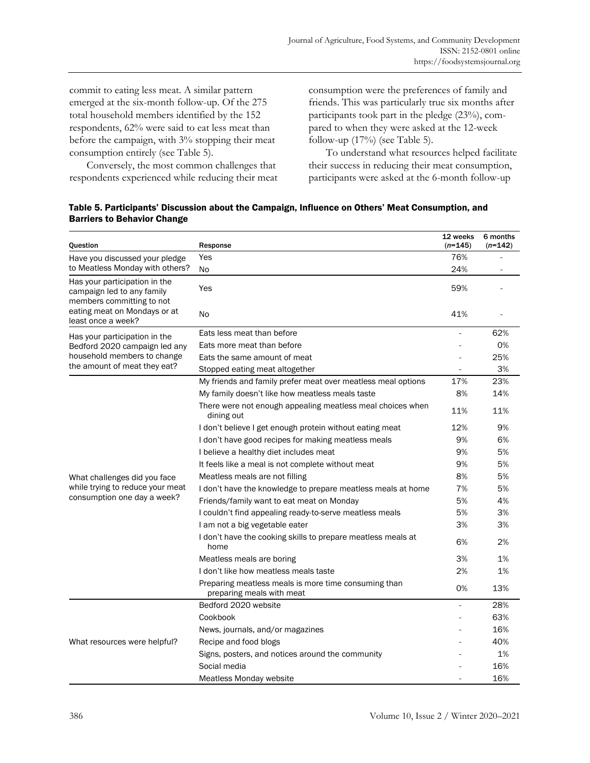commit to eating less meat. A similar pattern emerged at the six-month follow-up. Of the 275 total household members identified by the 152 respondents, 62% were said to eat less meat than before the campaign, with 3% stopping their meat consumption entirely (see Table 5).

Conversely, the most common challenges that respondents experienced while reducing their meat consumption were the preferences of family and friends. This was particularly true six months after participants took part in the pledge (23%), compared to when they were asked at the 12-week follow-up (17%) (see Table 5).

To understand what resources helped facilitate their success in reducing their meat consumption, participants were asked at the 6-month follow-up

| Table 5. Participants' Discussion about the Campaign, Influence on Others' Meat Consumption, and |  |  |
|--------------------------------------------------------------------------------------------------|--|--|
| <b>Barriers to Behavior Change</b>                                                               |  |  |

| Question                                                                                                                                                                                                                      | Response                                                                          | 12 weeks<br>$(n=145)$ | 6 months<br>$(n=142)$ |
|-------------------------------------------------------------------------------------------------------------------------------------------------------------------------------------------------------------------------------|-----------------------------------------------------------------------------------|-----------------------|-----------------------|
| Have you discussed your pledge                                                                                                                                                                                                | Yes                                                                               | 76%                   |                       |
| to Meatless Monday with others?                                                                                                                                                                                               | No                                                                                | 24%                   |                       |
| Has your participation in the<br>campaign led to any family                                                                                                                                                                   | Yes                                                                               | 59%                   |                       |
| eating meat on Mondays or at<br>least once a week?                                                                                                                                                                            | <b>No</b>                                                                         | 41%                   |                       |
|                                                                                                                                                                                                                               | Eats less meat than before                                                        | ÷,                    | 62%                   |
| Bedford 2020 campaign led any                                                                                                                                                                                                 | Eats more meat than before                                                        |                       | 0%                    |
| household members to change                                                                                                                                                                                                   | Eats the same amount of meat                                                      |                       | 25%                   |
|                                                                                                                                                                                                                               | Stopped eating meat altogether                                                    |                       | 3%                    |
|                                                                                                                                                                                                                               | My friends and family prefer meat over meatless meal options                      | 17%                   | 23%                   |
|                                                                                                                                                                                                                               | My family doesn't like how meatless meals taste                                   | 8%                    | 14%                   |
|                                                                                                                                                                                                                               | There were not enough appealing meatless meal choices when<br>dining out          | 11%                   | 11%                   |
|                                                                                                                                                                                                                               | I don't believe I get enough protein without eating meat                          | 12%                   | 9%                    |
|                                                                                                                                                                                                                               | I don't have good recipes for making meatless meals                               | 9%                    | 6%                    |
|                                                                                                                                                                                                                               | I believe a healthy diet includes meat                                            | 9%                    | 5%                    |
|                                                                                                                                                                                                                               | It feels like a meal is not complete without meat                                 | 9%                    | 5%                    |
| members committing to not<br>Has your participation in the<br>the amount of meat they eat?<br>What challenges did you face<br>while trying to reduce your meat<br>consumption one day a week?<br>What resources were helpful? | Meatless meals are not filling                                                    | 8%                    | 5%                    |
|                                                                                                                                                                                                                               | I don't have the knowledge to prepare meatless meals at home                      | 7%                    | 5%                    |
|                                                                                                                                                                                                                               | Friends/family want to eat meat on Monday                                         | 5%                    | 4%                    |
|                                                                                                                                                                                                                               | I couldn't find appealing ready-to-serve meatless meals                           | 5%                    | 3%                    |
|                                                                                                                                                                                                                               | I am not a big vegetable eater                                                    | 3%                    | 3%                    |
|                                                                                                                                                                                                                               | I don't have the cooking skills to prepare meatless meals at<br>home              | 6%                    | 2%                    |
|                                                                                                                                                                                                                               | Meatless meals are boring                                                         | 3%                    | 1%                    |
|                                                                                                                                                                                                                               | I don't like how meatless meals taste                                             | 2%                    | 1%                    |
|                                                                                                                                                                                                                               | Preparing meatless meals is more time consuming than<br>preparing meals with meat | 0%                    | 13%                   |
|                                                                                                                                                                                                                               | Bedford 2020 website                                                              | ä,                    | 28%                   |
|                                                                                                                                                                                                                               | Cookbook                                                                          |                       | 63%                   |
|                                                                                                                                                                                                                               | News, journals, and/or magazines                                                  |                       | 16%                   |
|                                                                                                                                                                                                                               | Recipe and food blogs                                                             |                       | 40%                   |
|                                                                                                                                                                                                                               | Signs, posters, and notices around the community                                  |                       | 1%                    |
|                                                                                                                                                                                                                               | Social media                                                                      |                       | 16%                   |
|                                                                                                                                                                                                                               | Meatless Monday website                                                           |                       | 16%                   |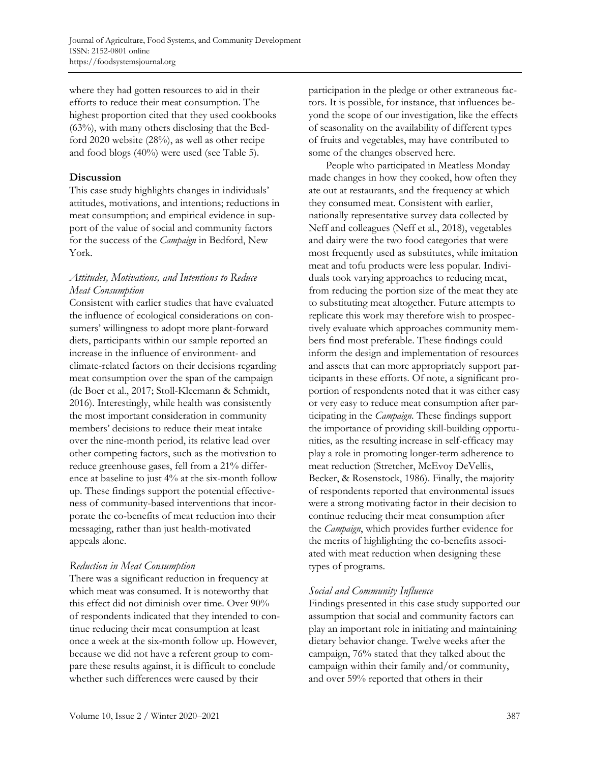where they had gotten resources to aid in their efforts to reduce their meat consumption. The highest proportion cited that they used cookbooks (63%), with many others disclosing that the Bedford 2020 website (28%), as well as other recipe and food blogs (40%) were used (see Table 5).

## **Discussion**

This case study highlights changes in individuals' attitudes, motivations, and intentions; reductions in meat consumption; and empirical evidence in support of the value of social and community factors for the success of the *Campaign* in Bedford, New York.

# *Attitudes, Motivations, and Intentions to Reduce Meat Consumption*

Consistent with earlier studies that have evaluated the influence of ecological considerations on consumers' willingness to adopt more plant-forward diets, participants within our sample reported an increase in the influence of environment- and climate-related factors on their decisions regarding meat consumption over the span of the campaign (de Boer et al., 2017; Stoll-Kleemann & Schmidt, 2016). Interestingly, while health was consistently the most important consideration in community members' decisions to reduce their meat intake over the nine-month period, its relative lead over other competing factors, such as the motivation to reduce greenhouse gases, fell from a 21% difference at baseline to just 4% at the six-month follow up. These findings support the potential effectiveness of community-based interventions that incorporate the co-benefits of meat reduction into their messaging, rather than just health-motivated appeals alone.

# *Reduction in Meat Consumption*

There was a significant reduction in frequency at which meat was consumed. It is noteworthy that this effect did not diminish over time. Over 90% of respondents indicated that they intended to continue reducing their meat consumption at least once a week at the six-month follow up. However, because we did not have a referent group to compare these results against, it is difficult to conclude whether such differences were caused by their

participation in the pledge or other extraneous factors. It is possible, for instance, that influences beyond the scope of our investigation, like the effects of seasonality on the availability of different types of fruits and vegetables, may have contributed to some of the changes observed here.

People who participated in Meatless Monday made changes in how they cooked, how often they ate out at restaurants, and the frequency at which they consumed meat. Consistent with earlier, nationally representative survey data collected by Neff and colleagues (Neff et al., 2018), vegetables and dairy were the two food categories that were most frequently used as substitutes, while imitation meat and tofu products were less popular. Individuals took varying approaches to reducing meat, from reducing the portion size of the meat they ate to substituting meat altogether. Future attempts to replicate this work may therefore wish to prospectively evaluate which approaches community members find most preferable. These findings could inform the design and implementation of resources and assets that can more appropriately support participants in these efforts. Of note, a significant proportion of respondents noted that it was either easy or very easy to reduce meat consumption after participating in the *Campaign*. These findings support the importance of providing skill-building opportunities, as the resulting increase in self-efficacy may play a role in promoting longer-term adherence to meat reduction (Stretcher, McEvoy DeVellis, Becker, & Rosenstock, 1986). Finally, the majority of respondents reported that environmental issues were a strong motivating factor in their decision to continue reducing their meat consumption after the *Campaign*, which provides further evidence for the merits of highlighting the co-benefits associated with meat reduction when designing these types of programs.

# *Social and Community Influence*

Findings presented in this case study supported our assumption that social and community factors can play an important role in initiating and maintaining dietary behavior change. Twelve weeks after the campaign, 76% stated that they talked about the campaign within their family and/or community, and over 59% reported that others in their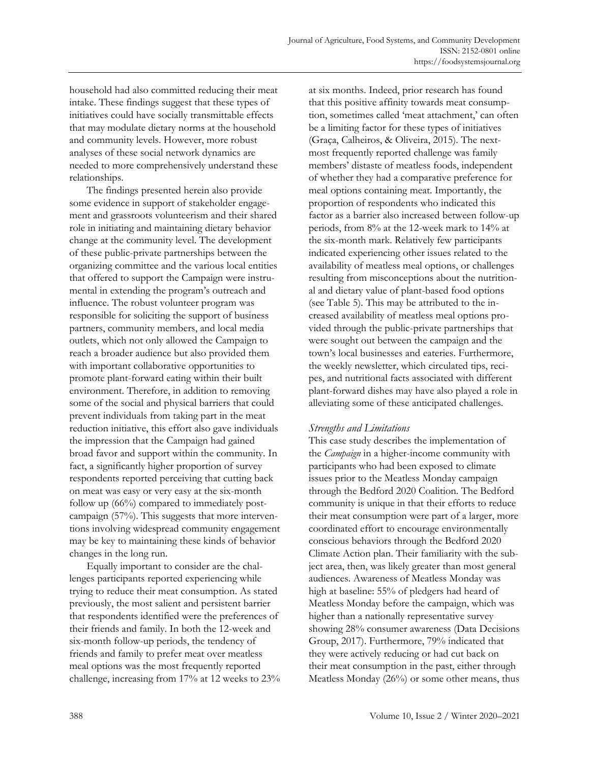household had also committed reducing their meat intake. These findings suggest that these types of initiatives could have socially transmittable effects that may modulate dietary norms at the household and community levels. However, more robust analyses of these social network dynamics are needed to more comprehensively understand these relationships.

The findings presented herein also provide some evidence in support of stakeholder engagement and grassroots volunteerism and their shared role in initiating and maintaining dietary behavior change at the community level. The development of these public-private partnerships between the organizing committee and the various local entities that offered to support the Campaign were instrumental in extending the program's outreach and influence. The robust volunteer program was responsible for soliciting the support of business partners, community members, and local media outlets, which not only allowed the Campaign to reach a broader audience but also provided them with important collaborative opportunities to promote plant-forward eating within their built environment. Therefore, in addition to removing some of the social and physical barriers that could prevent individuals from taking part in the meat reduction initiative, this effort also gave individuals the impression that the Campaign had gained broad favor and support within the community. In fact, a significantly higher proportion of survey respondents reported perceiving that cutting back on meat was easy or very easy at the six-month follow up (66%) compared to immediately postcampaign (57%). This suggests that more interventions involving widespread community engagement may be key to maintaining these kinds of behavior changes in the long run.

Equally important to consider are the challenges participants reported experiencing while trying to reduce their meat consumption. As stated previously, the most salient and persistent barrier that respondents identified were the preferences of their friends and family. In both the 12-week and six-month follow-up periods, the tendency of friends and family to prefer meat over meatless meal options was the most frequently reported challenge, increasing from 17% at 12 weeks to 23% at six months. Indeed, prior research has found that this positive affinity towards meat consumption, sometimes called 'meat attachment,' can often be a limiting factor for these types of initiatives (Graça, Calheiros, & Oliveira, 2015). The nextmost frequently reported challenge was family members' distaste of meatless foods, independent of whether they had a comparative preference for meal options containing meat. Importantly, the proportion of respondents who indicated this factor as a barrier also increased between follow-up periods, from 8% at the 12-week mark to 14% at the six-month mark. Relatively few participants indicated experiencing other issues related to the availability of meatless meal options, or challenges resulting from misconceptions about the nutritional and dietary value of plant-based food options (see Table 5). This may be attributed to the increased availability of meatless meal options provided through the public-private partnerships that were sought out between the campaign and the town's local businesses and eateries. Furthermore, the weekly newsletter, which circulated tips, recipes, and nutritional facts associated with different plant-forward dishes may have also played a role in alleviating some of these anticipated challenges.

# *Strengths and Limitations*

This case study describes the implementation of the *Campaign* in a higher-income community with participants who had been exposed to climate issues prior to the Meatless Monday campaign through the Bedford 2020 Coalition. The Bedford community is unique in that their efforts to reduce their meat consumption were part of a larger, more coordinated effort to encourage environmentally conscious behaviors through the Bedford 2020 Climate Action plan. Their familiarity with the subject area, then, was likely greater than most general audiences. Awareness of Meatless Monday was high at baseline: 55% of pledgers had heard of Meatless Monday before the campaign, which was higher than a nationally representative survey showing 28% consumer awareness (Data Decisions Group, 2017). Furthermore, 79% indicated that they were actively reducing or had cut back on their meat consumption in the past, either through Meatless Monday (26%) or some other means, thus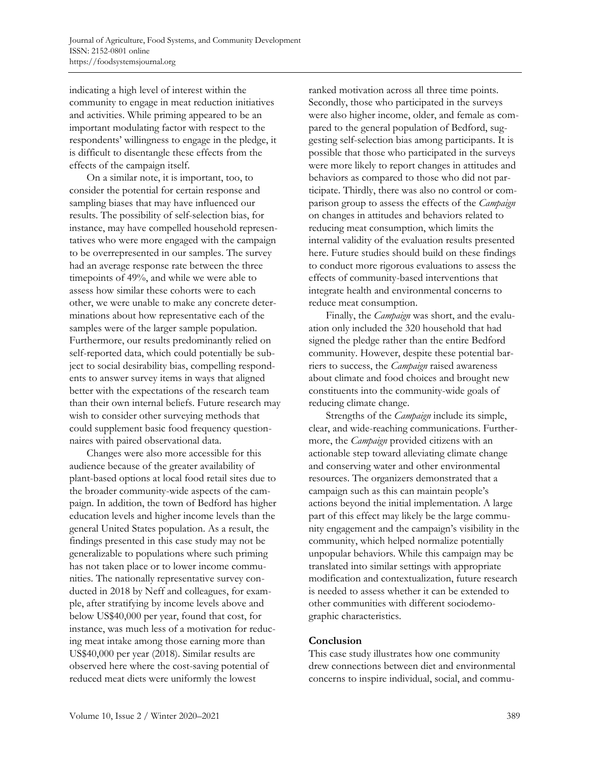indicating a high level of interest within the community to engage in meat reduction initiatives and activities. While priming appeared to be an important modulating factor with respect to the respondents' willingness to engage in the pledge, it is difficult to disentangle these effects from the effects of the campaign itself.

On a similar note, it is important, too, to consider the potential for certain response and sampling biases that may have influenced our results. The possibility of self-selection bias, for instance, may have compelled household representatives who were more engaged with the campaign to be overrepresented in our samples. The survey had an average response rate between the three timepoints of 49%, and while we were able to assess how similar these cohorts were to each other, we were unable to make any concrete determinations about how representative each of the samples were of the larger sample population. Furthermore, our results predominantly relied on self-reported data, which could potentially be subject to social desirability bias, compelling respondents to answer survey items in ways that aligned better with the expectations of the research team than their own internal beliefs. Future research may wish to consider other surveying methods that could supplement basic food frequency questionnaires with paired observational data.

Changes were also more accessible for this audience because of the greater availability of plant-based options at local food retail sites due to the broader community-wide aspects of the campaign. In addition, the town of Bedford has higher education levels and higher income levels than the general United States population. As a result, the findings presented in this case study may not be generalizable to populations where such priming has not taken place or to lower income communities. The nationally representative survey conducted in 2018 by Neff and colleagues, for example, after stratifying by income levels above and below US\$40,000 per year, found that cost, for instance, was much less of a motivation for reducing meat intake among those earning more than US\$40,000 per year (2018). Similar results are observed here where the cost-saving potential of reduced meat diets were uniformly the lowest

ranked motivation across all three time points. Secondly, those who participated in the surveys were also higher income, older, and female as compared to the general population of Bedford, suggesting self-selection bias among participants. It is possible that those who participated in the surveys were more likely to report changes in attitudes and behaviors as compared to those who did not participate. Thirdly, there was also no control or comparison group to assess the effects of the *Campaign* on changes in attitudes and behaviors related to reducing meat consumption, which limits the internal validity of the evaluation results presented here. Future studies should build on these findings to conduct more rigorous evaluations to assess the effects of community-based interventions that integrate health and environmental concerns to reduce meat consumption.

Finally, the *Campaign* was short, and the evaluation only included the 320 household that had signed the pledge rather than the entire Bedford community. However, despite these potential barriers to success, the *Campaign* raised awareness about climate and food choices and brought new constituents into the community-wide goals of reducing climate change.

Strengths of the *Campaign* include its simple, clear, and wide-reaching communications. Furthermore, the *Campaign* provided citizens with an actionable step toward alleviating climate change and conserving water and other environmental resources. The organizers demonstrated that a campaign such as this can maintain people's actions beyond the initial implementation. A large part of this effect may likely be the large community engagement and the campaign's visibility in the community, which helped normalize potentially unpopular behaviors. While this campaign may be translated into similar settings with appropriate modification and contextualization, future research is needed to assess whether it can be extended to other communities with different sociodemographic characteristics.

### **Conclusion**

This case study illustrates how one community drew connections between diet and environmental concerns to inspire individual, social, and commu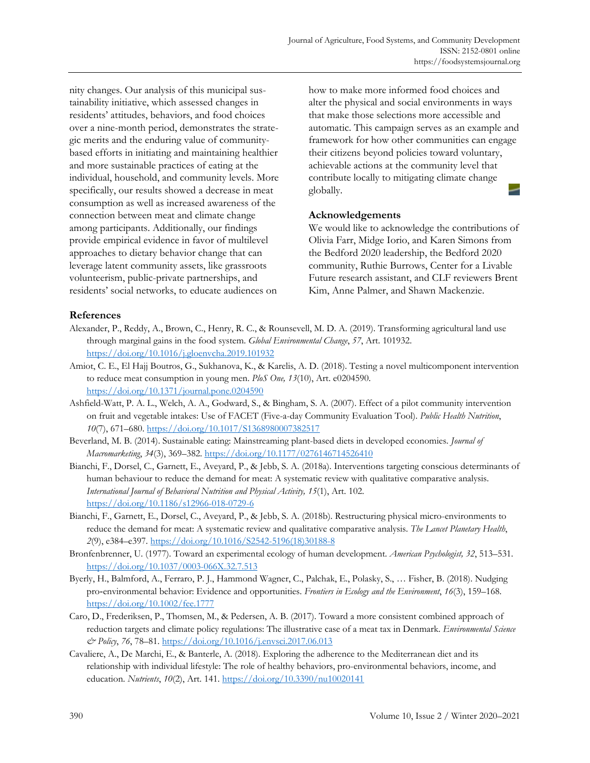nity changes. Our analysis of this municipal sustainability initiative, which assessed changes in residents' attitudes, behaviors, and food choices over a nine-month period, demonstrates the strategic merits and the enduring value of communitybased efforts in initiating and maintaining healthier and more sustainable practices of eating at the individual, household, and community levels. More specifically, our results showed a decrease in meat consumption as well as increased awareness of the connection between meat and climate change among participants. Additionally, our findings provide empirical evidence in favor of multilevel approaches to dietary behavior change that can leverage latent community assets, like grassroots volunteerism, public-private partnerships, and residents' social networks, to educate audiences on

how to make more informed food choices and alter the physical and social environments in ways that make those selections more accessible and automatic. This campaign serves as an example and framework for how other communities can engage their citizens beyond policies toward voluntary, achievable actions at the community level that contribute locally to mitigating climate change globally.

### **Acknowledgements**

We would like to acknowledge the contributions of Olivia Farr, Midge Iorio, and Karen Simons from the Bedford 2020 leadership, the Bedford 2020 community, Ruthie Burrows, Center for a Livable Future research assistant, and CLF reviewers Brent Kim, Anne Palmer, and Shawn Mackenzie.

### **References**

- Alexander, P., Reddy, A., Brown, C., Henry, R. C., & Rounsevell, M. D. A. (2019). Transforming agricultural land use through marginal gains in the food system. *Global Environmental Change*, *57*, Art. 101932. https://doi.org/10.1016/j.gloenvcha.2019.101932
- Amiot, C. E., El Hajj Boutros, G., Sukhanova, K., & Karelis, A. D. (2018). Testing a novel multicomponent intervention to reduce meat consumption in young men. *PloS One, 13*(10), Art. e0204590. https://doi.org/10.1371/journal.pone.0204590
- Ashfield-Watt, P. A. L., Welch, A. A., Godward, S., & Bingham, S. A. (2007). Effect of a pilot community intervention on fruit and vegetable intakes: Use of FACET (Five-a-day Community Evaluation Tool). *Public Health Nutrition*, *10*(7), 671–680. https://doi.org/10.1017/S1368980007382517
- Beverland, M. B. (2014). Sustainable eating: Mainstreaming plant-based diets in developed economies. *Journal of Macromarketing*, *34*(3), 369–382. https://doi.org/10.1177/0276146714526410
- Bianchi, F., Dorsel, C., Garnett, E., Aveyard, P., & Jebb, S. A. (2018a). Interventions targeting conscious determinants of human behaviour to reduce the demand for meat: A systematic review with qualitative comparative analysis. *International Journal of Behavioral Nutrition and Physical Activity, 15*(1), Art. 102. https://doi.org/10.1186/s12966-018-0729-6
- Bianchi, F., Garnett, E., Dorsel, C., Aveyard, P., & Jebb, S. A. (2018b). Restructuring physical micro-environments to reduce the demand for meat: A systematic review and qualitative comparative analysis. *The Lancet Planetary Health*, *2*(9), e384–e397. [https://doi.org/10.1016/S2542-5196\(18\)30188-8](https://doi.org/10.1016/S2542-5196(18)30188-8)
- Bronfenbrenner, U. (1977). Toward an experimental ecology of human development. *American Psychologist, 32*, 513–531. https://doi.org/10.1037/0003-066X.32.7.513
- Byerly, H., Balmford, A., Ferraro, P. J., Hammond Wagner, C., Palchak, E., Polasky, S., … Fisher, B. (2018). Nudging pro‐environmental behavior: Evidence and opportunities. *Frontiers in Ecology and the Environment*, *16*(3), 159–168. https://doi.org/10.1002/fee.1777
- Caro, D., Frederiksen, P., Thomsen, M., & Pedersen, A. B. (2017). Toward a more consistent combined approach of reduction targets and climate policy regulations: The illustrative case of a meat tax in Denmark. *Environmental Science & Policy*, *76*, 78–81. https://doi.org/10.1016/j.envsci.2017.06.013
- Cavaliere, A., De Marchi, E., & Banterle, A. (2018). Exploring the adherence to the Mediterranean diet and its relationship with individual lifestyle: The role of healthy behaviors, pro-environmental behaviors, income, and education. *Nutrients*, *10*(2), Art. 141. https://doi.org/10.3390/nu10020141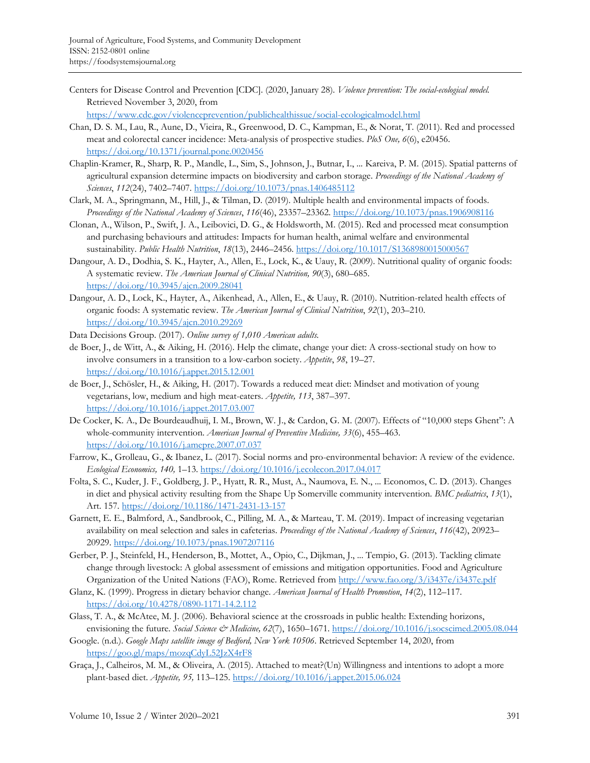- Centers for Disease Control and Prevention [CDC]. (2020, January 28). *Violence prevention: The social-ecological model.* Retrieved November 3, 2020, from https://www.cdc.gov/violenceprevention/publichealthissue/social-ecologicalmodel.html
- Chan, D. S. M., Lau, R., Aune, D., Vieira, R., Greenwood, D. C., Kampman, E., & Norat, T. (2011). Red and processed meat and colorectal cancer incidence: Meta-analysis of prospective studies. *PloS One, 6*(6), e20456. https://doi.org/10.1371/journal.pone.0020456
- Chaplin-Kramer, R., Sharp, R. P., Mandle, L., Sim, S., Johnson, J., Butnar, I., ... Kareiva, P. M. (2015). Spatial patterns of agricultural expansion determine impacts on biodiversity and carbon storage. *Proceedings of the National Academy of Sciences*, *112*(24), 7402–7407. https://doi.org/10.1073/pnas.1406485112
- Clark, M. A., Springmann, M., Hill, J., & Tilman, D. (2019). Multiple health and environmental impacts of foods. *Proceedings of the National Academy of Sciences*, *116*(46), 23357–23362. https://doi.org/10.1073/pnas.1906908116
- Clonan, A., Wilson, P., Swift, J. A., Leibovici, D. G., & Holdsworth, M. (2015). Red and processed meat consumption and purchasing behaviours and attitudes: Impacts for human health, animal welfare and environmental sustainability. *Public Health Nutrition*, *18*(13), 2446–2456. https://doi.org/10.1017/S1368980015000567
- Dangour, A. D., Dodhia, S. K., Hayter, A., Allen, E., Lock, K., & Uauy, R. (2009). Nutritional quality of organic foods: A systematic review. *The American Journal of Clinical Nutrition, 90*(3), 680–685. https://doi.org/10.3945/ajcn.2009.28041
- Dangour, A. D., Lock, K., Hayter, A., Aikenhead, A., Allen, E., & Uauy, R. (2010). Nutrition-related health effects of organic foods: A systematic review. *The American Journal of Clinical Nutrition*, *92*(1), 203–210. https://doi.org/10.3945/ajcn.2010.29269
- Data Decisions Group. (2017). *Online survey of 1,010 American adults.*
- de Boer, J., de Witt, A., & Aiking, H. (2016). Help the climate, change your diet: A cross-sectional study on how to involve consumers in a transition to a low-carbon society. *Appetite*, *98*, 19–27. https://doi.org/10.1016/j.appet.2015.12.001
- de Boer, J., Schösler, H., & Aiking, H. (2017). Towards a reduced meat diet: Mindset and motivation of young vegetarians, low, medium and high meat-eaters. *Appetite, 113*, 387–397. https://doi.org/10.1016/j.appet.2017.03.007
- De Cocker, K. A., De Bourdeaudhuij, I. M., Brown, W. J., & Cardon, G. M. (2007). Effects of "10,000 steps Ghent": A whole-community intervention. *American Journal of Preventive Medicine, 33*(6), 455–463. https://doi.org/10.1016/j.amepre.2007.07.037
- Farrow, K., Grolleau, G., & Ibanez, L. (2017). Social norms and pro-environmental behavior: A review of the evidence. *Ecological Economics, 140,* 1–13. https://doi.org/10.1016/j.ecolecon.2017.04.017
- Folta, S. C., Kuder, J. F., Goldberg, J. P., Hyatt, R. R., Must, A., Naumova, E. N., ... Economos, C. D. (2013). Changes in diet and physical activity resulting from the Shape Up Somerville community intervention. *BMC pediatrics*, *13*(1), Art. 157. https://doi.org/10.1186/1471-2431-13-157
- Garnett, E. E., Balmford, A., Sandbrook, C., Pilling, M. A., & Marteau, T. M. (2019). Impact of increasing vegetarian availability on meal selection and sales in cafeterias. *Proceedings of the National Academy of Sciences*, *116*(42), 20923– 20929. https://doi.org/10.1073/pnas.1907207116
- Gerber, P. J., Steinfeld, H., Henderson, B., Mottet, A., Opio, C., Dijkman, J., ... Tempio, G. (2013). Tackling climate change through livestock: A global assessment of emissions and mitigation opportunities. Food and Agriculture Organization of the United Nations (FAO), Rome. Retrieved from http://www.fao.org/3/i3437e/i3437e.pdf
- Glanz, K. (1999). Progress in dietary behavior change. *American Journal of Health Promotion*, *14*(2), 112–117. https://doi.org/10.4278/0890-1171-14.2.112
- Glass, T. A., & McAtee, M. J. (2006). Behavioral science at the crossroads in public health: Extending horizons, envisioning the future. Social Science & Medicine, 62(7), 1650-1671. https://doi.org/10.1016/j.socscimed.2005.08.044
- Google. (n.d.). *Google Maps satellite image of Bedford, New York 10506*. Retrieved September 14, 2020, from https://goo.gl/maps/mozqCdyL52JzX4rF8
- Graça, J., Calheiros, M. M., & Oliveira, A. (2015). Attached to meat?(Un) Willingness and intentions to adopt a more plant-based diet. *Appetite, 95,* 113–125. https://doi.org/10.1016/j.appet.2015.06.024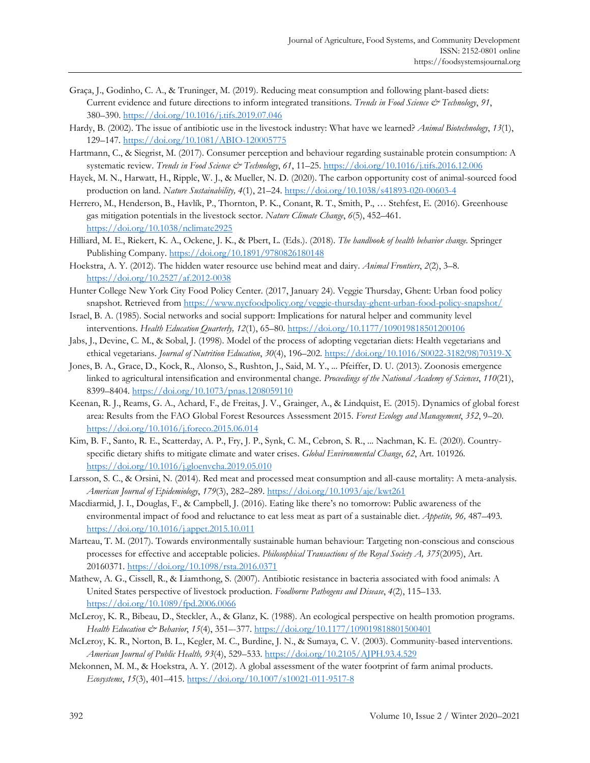- Graça, J., Godinho, C. A., & Truninger, M. (2019). Reducing meat consumption and following plant-based diets: Current evidence and future directions to inform integrated transitions. *Trends in Food Science & Technology*, *91*, 380–390. https://doi.org/10.1016/j.tifs.2019.07.046
- Hardy, B. (2002). The issue of antibiotic use in the livestock industry: What have we learned? *Animal Biotechnology*, *13*(1), 129–147. https://doi.org/10.1081/ABIO-120005775
- Hartmann, C., & Siegrist, M. (2017). Consumer perception and behaviour regarding sustainable protein consumption: A systematic review. *Trends in Food Science & Technology*, *61*, 11–25. https://doi.org/10.1016/j.tifs.2016.12.006
- Hayek, M. N., Harwatt, H., Ripple, W. J., & Mueller, N. D. (2020). The carbon opportunity cost of animal-sourced food production on land. *Nature Sustainability, 4*(1), 21–24. https://doi.org/10.1038/s41893-020-00603-4
- Herrero, M., Henderson, B., Havlík, P., Thornton, P. K., Conant, R. T., Smith, P., … Stehfest, E. (2016). Greenhouse gas mitigation potentials in the livestock sector. *Nature Climate Change*, *6*(5), 452–461. https://doi.org/10.1038/nclimate2925
- Hilliard, M. E., Riekert, K. A., Ockene, J. K., & Pbert, L. (Eds.). (2018). *The handbook of health behavior change.* Springer Publishing Company. https://doi.org/10.1891/9780826180148
- Hoekstra, A. Y. (2012). The hidden water resource use behind meat and dairy. *Animal Frontiers*, *2*(2), 3–8. https://doi.org/10.2527/af.2012-0038
- Hunter College New York City Food Policy Center. (2017, January 24). Veggie Thursday, Ghent: Urban food policy snapshot. Retrieved from https://www.nycfoodpolicy.org/veggie-thursday-ghent-urban-food-policy-snapshot/
- Israel, B. A. (1985). Social networks and social support: Implications for natural helper and community level interventions. *Health Education Quarterly, 12*(1), 65–80. https://doi.org/10.1177/109019818501200106
- Jabs, J., Devine, C. M., & Sobal, J. (1998). Model of the process of adopting vegetarian diets: Health vegetarians and ethical vegetarians. *Journal of Nutrition Education*, *30*(4), 196–202. [https://doi.org/10.1016/S0022-3182\(98\)70319-X](https://doi.org/10.1016/S0022-3182(98)70319-X)
- Jones, B. A., Grace, D., Kock, R., Alonso, S., Rushton, J., Said, M. Y., ... Pfeiffer, D. U. (2013). Zoonosis emergence linked to agricultural intensification and environmental change. *Proceedings of the National Academy of Sciences*, *110*(21), 8399–8404. https://doi.org/10.1073/pnas.1208059110
- Keenan, R. J., Reams, G. A., Achard, F., de Freitas, J. V., Grainger, A., & Lindquist, E. (2015). Dynamics of global forest area: Results from the FAO Global Forest Resources Assessment 2015. *Forest Ecology and Management*, *352*, 9–20. https://doi.org/10.1016/j.foreco.2015.06.014
- Kim, B. F., Santo, R. E., Scatterday, A. P., Fry, J. P., Synk, C. M., Cebron, S. R., ... Nachman, K. E. (2020). Countryspecific dietary shifts to mitigate climate and water crises. *Global Environmental Change*, *62*, Art. 101926*.* https://doi.org/10.1016/j.gloenvcha.2019.05.010
- Larsson, S. C., & Orsini, N. (2014). Red meat and processed meat consumption and all-cause mortality: A meta-analysis. *American Journal of Epidemiology*, *179*(3), 282–289. https://doi.org/10.1093/aje/kwt261
- Macdiarmid, J. I., Douglas, F., & Campbell, J. (2016). Eating like there's no tomorrow: Public awareness of the environmental impact of food and reluctance to eat less meat as part of a sustainable diet. *Appetite, 96,* 487–493. https://doi.org/10.1016/j.appet.2015.10.011
- Marteau, T. M. (2017). Towards environmentally sustainable human behaviour: Targeting non-conscious and conscious processes for effective and acceptable policies. *Philosophical Transactions of the Royal Society A, 375*(2095), Art. 20160371. https://doi.org/10.1098/rsta.2016.0371
- Mathew, A. G., Cissell, R., & Liamthong, S. (2007). Antibiotic resistance in bacteria associated with food animals: A United States perspective of livestock production. *Foodborne Pathogens and Disease*, *4*(2), 115–133. https://doi.org/10.1089/fpd.2006.0066
- McLeroy, K. R., Bibeau, D., Steckler, A., & Glanz, K. (1988). An ecological perspective on health promotion programs. *Health Education & Behavior*, *15*(4), 351–-377. https://doi.org/10.1177/109019818801500401
- McLeroy, K. R., Norton, B. L., Kegler, M. C., Burdine, J. N., & Sumaya, C. V. (2003). Community-based interventions. *American Journal of Public Health, 93*(4), 529–533. https://doi.org/10.2105/AJPH.93.4.529
- Mekonnen, M. M., & Hoekstra, A. Y. (2012). A global assessment of the water footprint of farm animal products. *Ecosystems*, *15*(3), 401–415. https://doi.org/10.1007/s10021-011-9517-8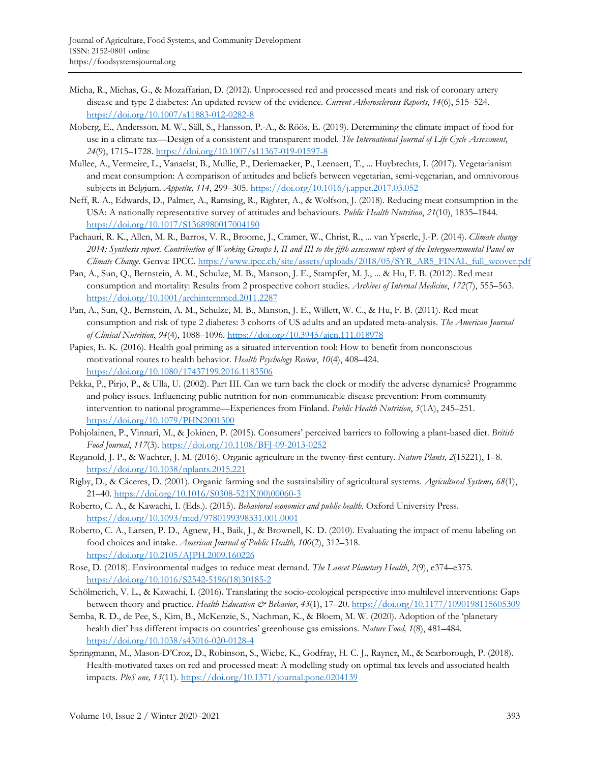- Micha, R., Michas, G., & Mozaffarian, D. (2012). Unprocessed red and processed meats and risk of coronary artery disease and type 2 diabetes: An updated review of the evidence. *Current Atherosclerosis Reports*, *14*(6), 515–524. https://doi.org/10.1007/s11883-012-0282-8
- Moberg, E., Andersson, M. W., Säll, S., Hansson, P.-A., & Röös, E. (2019). Determining the climate impact of food for use in a climate tax—Design of a consistent and transparent model. *The International Journal of Life Cycle Assessment*, *24*(9), 1715–1728. https://doi.org/10.1007/s11367-019-01597-8
- Mullee, A., Vermeire, L., Vanaelst, B., Mullie, P., Deriemaeker, P., Leenaert, T., ... Huybrechts, I. (2017). Vegetarianism and meat consumption: A comparison of attitudes and beliefs between vegetarian, semi-vegetarian, and omnivorous subjects in Belgium. *Appetite, 114*, 299–305. https://doi.org/10.1016/j.appet.2017.03.052
- Neff, R. A., Edwards, D., Palmer, A., Ramsing, R., Righter, A., & Wolfson, J. (2018). Reducing meat consumption in the USA: A nationally representative survey of attitudes and behaviours. *Public Health Nutrition*, *21*(10), 1835–1844. https://doi.org/10.1017/S1368980017004190
- Pachauri, R. K., Allen, M. R., Barros, V. R., Broome, J., Cramer, W., Christ, R., ... van Ypserle, J.-P. (2014). *Climate change 2014: Synthesis report. Contribution of Working Groups I, II and III to the fifth assessment report of the Intergovernmental Panel on Climate Change*. Genva: IPCC. https://www.ipcc.ch/site/assets/uploads/2018/05/SYR\_AR5\_FINAL\_full\_wcover.pdf
- Pan, A., Sun, Q., Bernstein, A. M., Schulze, M. B., Manson, J. E., Stampfer, M. J., ... & Hu, F. B. (2012). Red meat consumption and mortality: Results from 2 prospective cohort studies. *Archives of Internal Medicine*, *172*(7), 555–563. https://doi.org/10.1001/archinternmed.2011.2287
- Pan, A., Sun, Q., Bernstein, A. M., Schulze, M. B., Manson, J. E., Willett, W. C., & Hu, F. B. (2011). Red meat consumption and risk of type 2 diabetes: 3 cohorts of US adults and an updated meta-analysis. *The American Journal of Clinical Nutrition*, *94*(4), 1088–1096. https://doi.org/10.3945/ajcn.111.018978
- Papies, E. K. (2016). Health goal priming as a situated intervention tool: How to benefit from nonconscious motivational routes to health behavior. *Health Psychology Review*, *10*(4), 408–424. https://doi.org/10.1080/17437199.2016.1183506
- Pekka, P., Pirjo, P., & Ulla, U. (2002). Part III. Can we turn back the clock or modify the adverse dynamics? Programme and policy issues. Influencing public nutrition for non-communicable disease prevention: From community intervention to national programme—Experiences from Finland. *Public Health Nutrition*, *5*(1A), 245–251. https://doi.org/10.1079/PHN2001300
- Pohjolainen, P., Vinnari, M., & Jokinen, P. (2015). Consumers' perceived barriers to following a plant-based diet. *British Food Journal*, *117*(3). https://doi.org/10.1108/BFJ-09-2013-0252
- Reganold, J. P., & Wachter, J. M. (2016). Organic agriculture in the twenty-first century. *Nature Plants, 2*(15221), 1–8. https://doi.org/10.1038/nplants.2015.221
- Rigby, D., & Cáceres, D. (2001). Organic farming and the sustainability of agricultural systems. *Agricultural Systems, 68*(1), 21–40. [https://doi.org/10.1016/S0308-521X\(00\)00060-3](https://doi.org/10.1016/S0308-521X(00)00060-3)
- Roberto, C. A., & Kawachi, I. (Eds.). (2015). *Behavioral economics and public health*. Oxford University Press. https://doi.org/10.1093/med/9780199398331.001.0001
- Roberto, C. A., Larsen, P. D., Agnew, H., Baik, J., & Brownell, K. D. (2010). Evaluating the impact of menu labeling on food choices and intake. *American Journal of Public Health, 100*(2), 312–318. https://doi.org/10.2105/AJPH.2009.160226
- Rose, D. (2018). Environmental nudges to reduce meat demand. *The Lancet Planetary Health*, *2*(9), e374–e375. [https://doi.org/10.1016/S2542-5196\(18\)30185-2](https://doi.org/10.1016/S2542-5196(18)30185-2)
- Schölmerich, V. L., & Kawachi, I. (2016). Translating the socio-ecological perspective into multilevel interventions: Gaps between theory and practice. *Health Education & Behavior*, *43*(1), 17–20. https://doi.org/10.1177/1090198115605309
- Semba, R. D., de Pee, S., Kim, B., McKenzie, S., Nachman, K., & Bloem, M. W. (2020). Adoption of the 'planetary health diet' has different impacts on countries' greenhouse gas emissions. *Nature Food, 1*(8), 481–484. https://doi.org/10.1038/s43016-020-0128-4
- Springmann, M., Mason-D'Croz, D., Robinson, S., Wiebe, K., Godfray, H. C. J., Rayner, M., & Scarborough, P. (2018). Health-motivated taxes on red and processed meat: A modelling study on optimal tax levels and associated health impacts. *PloS one, 13*(11). https://doi.org/10.1371/journal.pone.0204139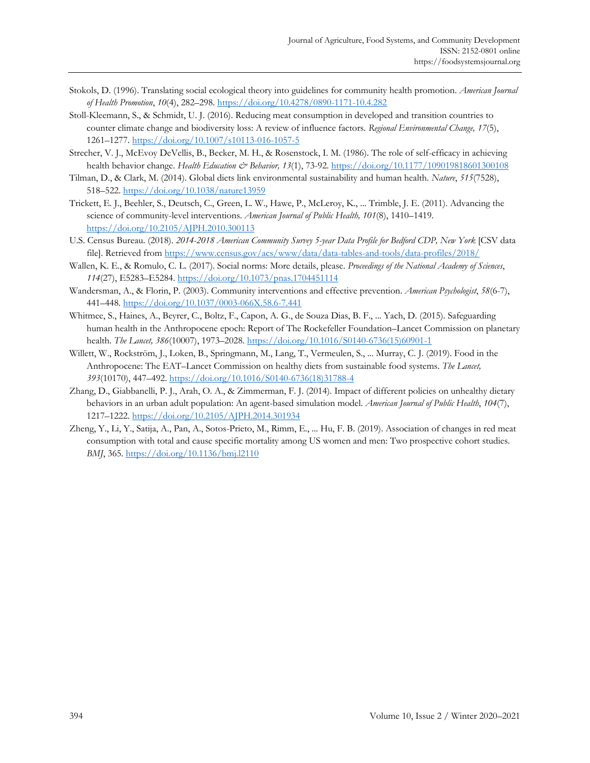- Stokols, D. (1996). Translating social ecological theory into guidelines for community health promotion. *American Journal of Health Promotion*, *10*(4), 282–298. https://doi.org/10.4278/0890-1171-10.4.282
- Stoll-Kleemann, S., & Schmidt, U. J. (2016). Reducing meat consumption in developed and transition countries to counter climate change and biodiversity loss: A review of influence factors. *Regional Environmental Change, 17*(5), 1261–1277. https://doi.org/10.1007/s10113-016-1057-5
- Strecher, V. J., McEvoy DeVellis, B., Becker, M. H., & Rosenstock, I. M. (1986). The role of self-efficacy in achieving health behavior change. *Health Education & Behavior, 13*(1), 73-92. https://doi.org/10.1177/109019818601300108
- Tilman, D., & Clark, M. (2014). Global diets link environmental sustainability and human health. *Nature*, *515*(7528), 518–522. https://doi.org/10.1038/nature13959
- Trickett, E. J., Beehler, S., Deutsch, C., Green, L. W., Hawe, P., McLeroy, K., ... Trimble, J. E. (2011). Advancing the science of community-level interventions. *American Journal of Public Health, 101*(8), 1410–1419. https://doi.org/10.2105/AJPH.2010.300113
- U.S. Census Bureau. (2018). *2014-2018 American Community Survey 5-year Data Profile for Bedford CDP, New York* [CSV data file]. Retrieved from https://www.census.gov/acs/www/data/data-tables-and-tools/data-profiles/2018/
- Wallen, K. E., & Romulo, C. L. (2017). Social norms: More details, please. *Proceedings of the National Academy of Sciences*, *114*(27), E5283–E5284. https://doi.org/10.1073/pnas.1704451114
- Wandersman, A., & Florin, P. (2003). Community interventions and effective prevention. *American Psychologist*, *58*(6-7), 441–448. https://doi.org/10.1037/0003-066X.58.6-7.441
- Whitmee, S., Haines, A., Beyrer, C., Boltz, F., Capon, A. G., de Souza Dias, B. F., ... Yach, D. (2015). Safeguarding human health in the Anthropocene epoch: Report of The Rockefeller Foundation–Lancet Commission on planetary health. *The Lancet, 386*(10007), 1973–2028. https://doi.org/10.1016/S0140-6736(15)60901-1
- Willett, W., Rockström, J., Loken, B., Springmann, M., Lang, T., Vermeulen, S., ... Murray, C. J. (2019). Food in the Anthropocene: The EAT–Lancet Commission on healthy diets from sustainable food systems. *The Lancet, 393*(10170), 447–492. https://doi.org/10.1016/S0140-6736(18)31788-4
- Zhang, D., Giabbanelli, P. J., Arah, O. A., & Zimmerman, F. J. (2014). Impact of different policies on unhealthy dietary behaviors in an urban adult population: An agent-based simulation model. *American Journal of Public Health*, *104*(7), 1217–1222. https://doi.org/10.2105/AJPH.2014.301934
- Zheng, Y., Li, Y., Satija, A., Pan, A., Sotos-Prieto, M., Rimm, E., ... Hu, F. B. (2019). Association of changes in red meat consumption with total and cause specific mortality among US women and men: Two prospective cohort studies. *BMJ*, 365. https://doi.org/10.1136/bmj.l2110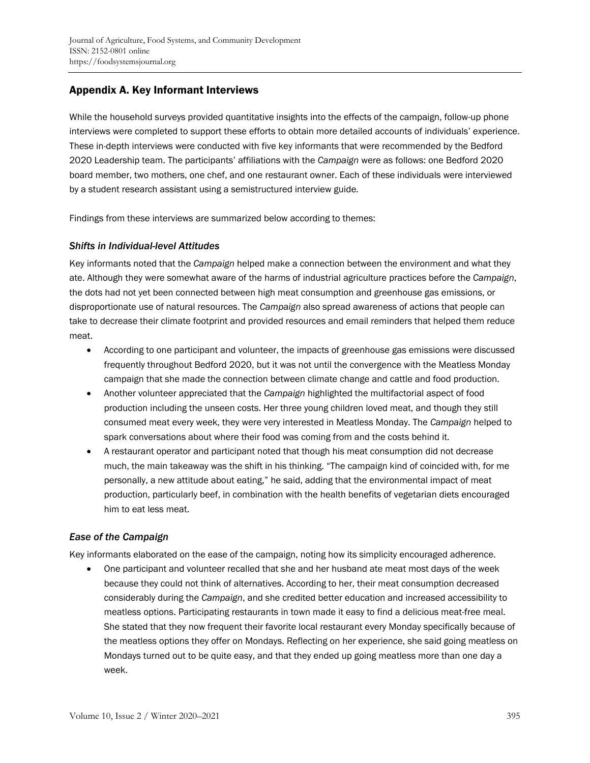# Appendix A. Key Informant Interviews

While the household surveys provided quantitative insights into the effects of the campaign, follow-up phone interviews were completed to support these efforts to obtain more detailed accounts of individuals' experience. These in-depth interviews were conducted with five key informants that were recommended by the Bedford 2020 Leadership team. The participants' affiliations with the *Campaign* were as follows: one Bedford 2020 board member, two mothers, one chef, and one restaurant owner. Each of these individuals were interviewed by a student research assistant using a semistructured interview guide.

Findings from these interviews are summarized below according to themes:

### *Shifts in Individual-level Attitudes*

Key informants noted that the *Campaign* helped make a connection between the environment and what they ate. Although they were somewhat aware of the harms of industrial agriculture practices before the *Campaign*, the dots had not yet been connected between high meat consumption and greenhouse gas emissions, or disproportionate use of natural resources. The *Campaign* also spread awareness of actions that people can take to decrease their climate footprint and provided resources and email reminders that helped them reduce meat.

- According to one participant and volunteer, the impacts of greenhouse gas emissions were discussed frequently throughout Bedford 2020, but it was not until the convergence with the Meatless Monday campaign that she made the connection between climate change and cattle and food production.
- Another volunteer appreciated that the *Campaign* highlighted the multifactorial aspect of food production including the unseen costs. Her three young children loved meat, and though they still consumed meat every week, they were very interested in Meatless Monday. The *Campaign* helped to spark conversations about where their food was coming from and the costs behind it.
- A restaurant operator and participant noted that though his meat consumption did not decrease much, the main takeaway was the shift in his thinking. "The campaign kind of coincided with, for me personally, a new attitude about eating," he said, adding that the environmental impact of meat production, particularly beef, in combination with the health benefits of vegetarian diets encouraged him to eat less meat.

### *Ease of the Campaign*

Key informants elaborated on the ease of the campaign, noting how its simplicity encouraged adherence.

• One participant and volunteer recalled that she and her husband ate meat most days of the week because they could not think of alternatives. According to her, their meat consumption decreased considerably during the *Campaign*, and she credited better education and increased accessibility to meatless options. Participating restaurants in town made it easy to find a delicious meat-free meal. She stated that they now frequent their favorite local restaurant every Monday specifically because of the meatless options they offer on Mondays. Reflecting on her experience, she said going meatless on Mondays turned out to be quite easy, and that they ended up going meatless more than one day a week.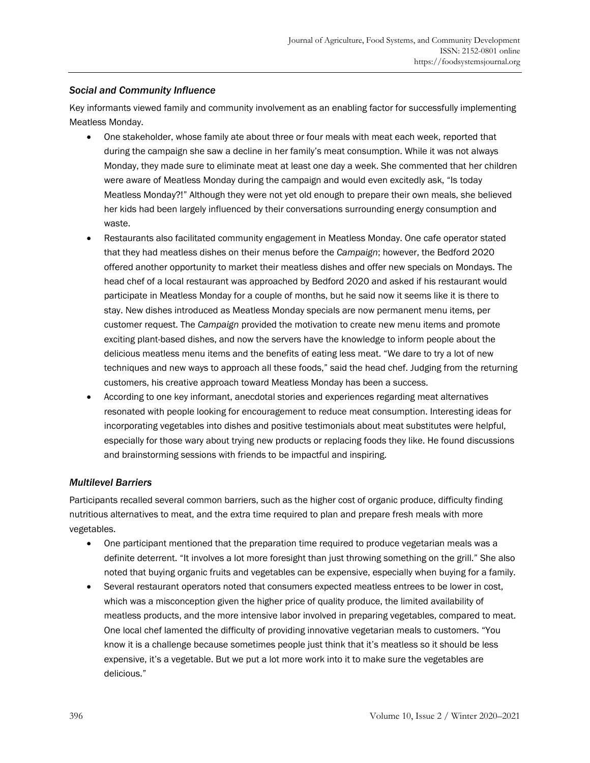## *Social and Community Influence*

Key informants viewed family and community involvement as an enabling factor for successfully implementing Meatless Monday.

- One stakeholder, whose family ate about three or four meals with meat each week, reported that during the campaign she saw a decline in her family's meat consumption. While it was not always Monday, they made sure to eliminate meat at least one day a week. She commented that her children were aware of Meatless Monday during the campaign and would even excitedly ask, "Is today Meatless Monday?!" Although they were not yet old enough to prepare their own meals, she believed her kids had been largely influenced by their conversations surrounding energy consumption and waste.
- Restaurants also facilitated community engagement in Meatless Monday. One cafe operator stated that they had meatless dishes on their menus before the *Campaign*; however, the Bedford 2020 offered another opportunity to market their meatless dishes and offer new specials on Mondays. The head chef of a local restaurant was approached by Bedford 2020 and asked if his restaurant would participate in Meatless Monday for a couple of months, but he said now it seems like it is there to stay. New dishes introduced as Meatless Monday specials are now permanent menu items, per customer request. The *Campaign* provided the motivation to create new menu items and promote exciting plant-based dishes, and now the servers have the knowledge to inform people about the delicious meatless menu items and the benefits of eating less meat. "We dare to try a lot of new techniques and new ways to approach all these foods," said the head chef. Judging from the returning customers, his creative approach toward Meatless Monday has been a success.
- According to one key informant, anecdotal stories and experiences regarding meat alternatives resonated with people looking for encouragement to reduce meat consumption. Interesting ideas for incorporating vegetables into dishes and positive testimonials about meat substitutes were helpful, especially for those wary about trying new products or replacing foods they like. He found discussions and brainstorming sessions with friends to be impactful and inspiring.

### *Multilevel Barriers*

Participants recalled several common barriers, such as the higher cost of organic produce, difficulty finding nutritious alternatives to meat, and the extra time required to plan and prepare fresh meals with more vegetables.

- One participant mentioned that the preparation time required to produce vegetarian meals was a definite deterrent. "It involves a lot more foresight than just throwing something on the grill." She also noted that buying organic fruits and vegetables can be expensive, especially when buying for a family.
- Several restaurant operators noted that consumers expected meatless entrees to be lower in cost, which was a misconception given the higher price of quality produce, the limited availability of meatless products, and the more intensive labor involved in preparing vegetables, compared to meat. One local chef lamented the difficulty of providing innovative vegetarian meals to customers. "You know it is a challenge because sometimes people just think that it's meatless so it should be less expensive, it's a vegetable. But we put a lot more work into it to make sure the vegetables are delicious."